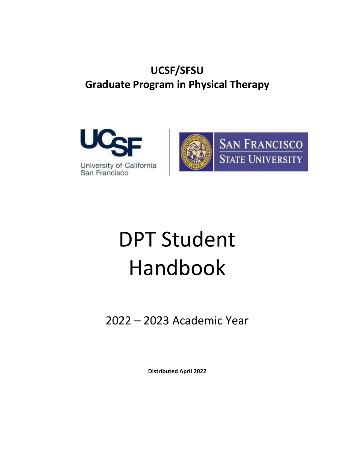# **UCSF/SFSU Graduate Program in Physical Therapy**





# DPT Student Handbook

2022 – 2023 Academic Year

**Distributed April 2022**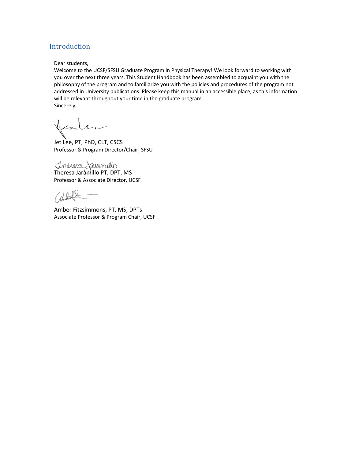# <span id="page-1-0"></span>Introduction

Dear students,

Welcome to the UCSF/SFSU Graduate Program in Physical Therapy! We look forward to working with you over the next three years. This Student Handbook has been assembled to acquaint you with the philosophy of the program and to familiarize you with the policies and procedures of the program not addressed in University publications. Please keep this manual in an accessible place, as this information will be relevant throughout your time in the graduate program. Sincerely,

Jet Lee, PT, PhD, CLT, CSCS Professor & Program Director/Chair, SFSU

Theresa Jaramillo PT, DPT, MS Professor & Associate Director, UCSF

Amber Fitzsimmons, PT, MS, DPTs Associate Professor & Program Chair, UCSF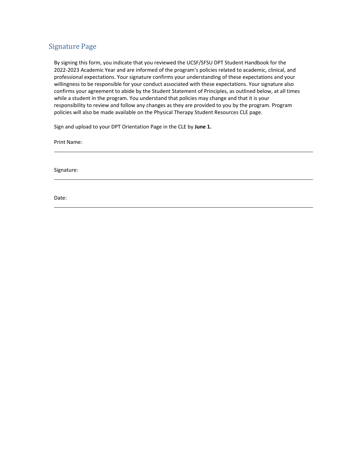# <span id="page-2-0"></span>Signature Page

By signing this form, you indicate that you reviewed the UCSF/SFSU DPT Student Handbook for the 2022-2023 Academic Year and are informed of the program's policies related to academic, clinical, and professional expectations. Your signature confirms your understanding of these expectations and your willingness to be responsible for your conduct associated with these expectations. Your signature also confirms your agreement to abide by the Student Statement of Principles, as outlined below, at all times while a student in the program. You understand that policies may change and that it is your responsibility to review and follow any changes as they are provided to you by the program. Program policies will also be made available on the Physical Therapy Student Resources CLE page.

Sign and upload to your DPT Orientation Page in the CLE by **June 1.**

Print Name:

Signature:

Date: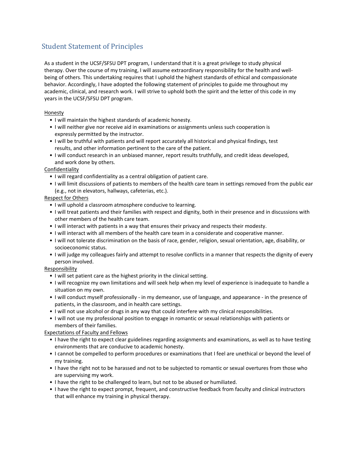# <span id="page-3-0"></span>Student Statement of Principles

As a student in the UCSF/SFSU DPT program, I understand that it is a great privilege to study physical therapy. Over the course of my training, I will assume extraordinary responsibility for the health and wellbeing of others. This undertaking requires that I uphold the highest standards of ethical and compassionate behavior. Accordingly, I have adopted the following statement of principles to guide me throughout my academic, clinical, and research work. I will strive to uphold both the spirit and the letter of this code in my years in the UCSF/SFSU DPT program.

Honesty

- I will maintain the highest standards of academic honesty.
- I will neither give nor receive aid in examinations or assignments unless such cooperation is expressly permitted by the instructor.
- I will be truthful with patients and will report accurately all historical and physical findings, test results, and other information pertinent to the care of the patient.
- I will conduct research in an unbiased manner, report results truthfully, and credit ideas developed, and work done by others.

#### Confidentiality

- I will regard confidentiality as a central obligation of patient care.
- I will limit discussions of patients to members of the health care team in settings removed from the public ear (e.g., not in elevators, hallways, cafeterias, etc.).

#### Respect for Others

- I will uphold a classroom atmosphere conducive to learning.
- I will treat patients and their families with respect and dignity, both in their presence and in discussions with other members of the health care team.
- I will interact with patients in a way that ensures their privacy and respects their modesty.
- I will interact with all members of the health care team in a considerate and cooperative manner.
- I will not tolerate discrimination on the basis of race, gender, religion, sexual orientation, age, disability, or socioeconomic status.
- I will judge my colleagues fairly and attempt to resolve conflicts in a manner that respects the dignity of every person involved.

#### **Responsibility**

- I will set patient care as the highest priority in the clinical setting.
- I will recognize my own limitations and will seek help when my level of experience is inadequate to handle a situation on my own.
- I will conduct myself professionally in my demeanor, use of language, and appearance in the presence of patients, in the classroom, and in health care settings.
- I will not use alcohol or drugs in any way that could interfere with my clinical responsibilities.
- I will not use my professional position to engage in romantic or sexual relationships with patients or members of their families.

### Expectations of Faculty and Fellows

- I have the right to expect clear guidelines regarding assignments and examinations, as well as to have testing environments that are conducive to academic honesty.
- I cannot be compelled to perform procedures or examinations that I feel are unethical or beyond the level of my training.
- I have the right not to be harassed and not to be subjected to romantic or sexual overtures from those who are supervising my work.
- I have the right to be challenged to learn, but not to be abused or humiliated.
- I have the right to expect prompt, frequent, and constructive feedback from faculty and clinical instructors that will enhance my training in physical therapy.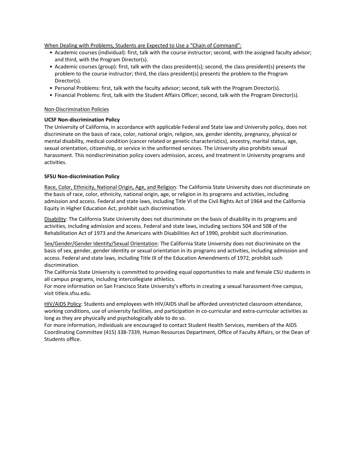When Dealing with Problems, Students are Expected to Use a "Chain of Command":

- Academic courses (individual): first, talk with the course instructor; second, with the assigned faculty advisor; and third, with the Program Director(s).
- Academic courses (group): first, talk with the class president(s); second, the class president(s) presents the problem to the course instructor; third, the class president(s) presents the problem to the Program Director(s).
- Personal Problems: first, talk with the faculty advisor; second, talk with the Program Director(s).
- Financial Problems: first, talk with the Student Affairs Officer; second, talk with the Program Director(s).

#### Non-Discrimination Policies

#### **UCSF Non-discrimination Policy**

The University of California, in accordance with applicable Federal and State law and University policy, does not discriminate on the basis of race, color, national origin, religion, sex, gender identity, pregnancy, physical or mental disability, medical condition (cancer related or genetic characteristics), ancestry, marital status, age, sexual orientation, citizenship, or service in the uniformed services. The University also prohibits sexual harassment. This nondiscrimination policy covers admission, access, and treatment in University programs and activities.

#### **SFSU Non-discrimination Policy**

Race, Color, Ethnicity, National Origin, Age, and Religion: The California State University does not discriminate on the basis of race, color, ethnicity, national origin, age, or religion in its programs and activities, including admission and access. Federal and state laws, including Title VI of the Civil Rights Act of 1964 and the California Equity in Higher Education Act, prohibit such discrimination.

Disability: The California State University does not discriminate on the basis of disability in its programs and activities, including admission and access. Federal and state laws, including sections 504 and 508 of the Rehabilitation Act of 1973 and the Americans with Disabilities Act of 1990, prohibit such discrimination.

Sex/Gender/Gender Identity/Sexual Orientation: The California State University does not discriminate on the basis of sex, gender, gender identity or sexual orientation in its programs and activities, including admission and access. Federal and state laws, including Title IX of the Education Amendments of 1972, prohibit such discrimination.

The California State University is committed to providing equal opportunities to male and female CSU students in all campus programs, including intercollegiate athletics.

For more information on San Francisco State University's efforts in creating a sexual harassment-free campus, visit titleix.sfsu.edu.

HIV/AIDS Policy: Students and employees with HIV/AIDS shall be afforded unrestricted classroom attendance, working conditions, use of university facilities, and participation in co-curricular and extra-curricular activities as long as they are physically and psychologically able to do so.

For more information, individuals are encouraged to contact Student Health Services, members of the AIDS Coordinating Committee (415) 338-7339, Human Resources Department, Office of Faculty Affairs, or the Dean of Students office.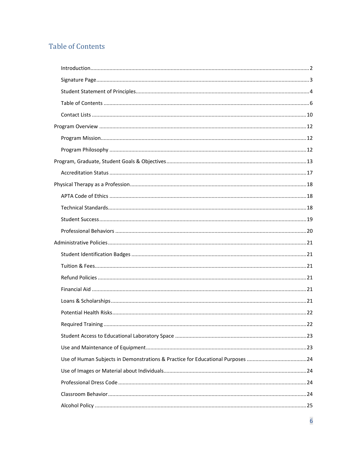# <span id="page-5-0"></span>**Table of Contents**

| 22 |
|----|
|    |
|    |
|    |
|    |
|    |
|    |
|    |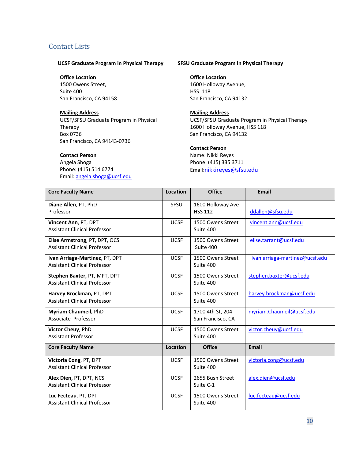# <span id="page-9-0"></span>Contact Lists

#### **UCSF Graduate Program in Physical Therapy**

#### **Office Location**

1500 Owens Street, Suite 400 San Francisco, CA 94158

#### **Mailing Address**

UCSF/SFSU Graduate Program in Physical Therapy Box 0736 San Francisco, CA 94143-0736

#### **Contact Person**

Angela Shoga Phone: (415) 514 6774 Email[: angela.shoga@ucsf.edu](mailto:angela.shoga@ucsf.edu)

#### **SFSU Graduate Program in Physical Therapy**

#### **Office Location**

1600 Holloway Avenue, HSS 118 San Francisco, CA 94132

#### **Mailing Address**

UCSF/SFSU Graduate Program in Physical Therapy 1600 Holloway Avenue, HSS 118 San Francisco, CA 94132

#### **Contact Person**

Name: Nikki Reyes Phone: (415) 335 3711 Email[:nikkireyes@sfsu.edu](mailto:nikkireyes@sfsu.edu)

| <b>Core Faculty Name</b>                                              | Location    | <b>Office</b>                         | <b>Email</b>                   |
|-----------------------------------------------------------------------|-------------|---------------------------------------|--------------------------------|
| Diane Allen, PT, PhD<br>Professor                                     | <b>SFSU</b> | 1600 Holloway Ave<br><b>HSS 112</b>   | ddallen@sfsu.edu               |
| Vincent Ann, PT, DPT<br><b>Assistant Clinical Professor</b>           | <b>UCSF</b> | 1500 Owens Street<br>Suite 400        | vincent.ann@ucsf.edu           |
| Elise Armstrong, PT, DPT, OCS<br><b>Assistant Clinical Professor</b>  | <b>UCSF</b> | 1500 Owens Street<br>Suite 400        | elise.tarrant@ucsf.edu         |
| Ivan Arriaga-Martinez, PT, DPT<br><b>Assistant Clinical Professor</b> | <b>UCSF</b> | 1500 Owens Street<br>Suite 400        | Ivan.arriaga-martinez@ucsf.edu |
| Stephen Baxter, PT, MPT, DPT<br><b>Assistant Clinical Professor</b>   | <b>UCSF</b> | 1500 Owens Street<br>Suite 400        | stephen.baxter@ucsf.edu        |
| Harvey Brockman, PT, DPT<br><b>Assistant Clinical Professor</b>       | <b>UCSF</b> | 1500 Owens Street<br>Suite 400        | harvey.brockman@ucsf.edu       |
| Myriam Chaumeil, PhD<br>Associate Professor                           | <b>UCSF</b> | 1700 4th St, 204<br>San Francisco, CA | myriam.Chaumeil@ucsf.edu       |
| Victor Cheuy, PhD<br><b>Assistant Professor</b>                       | <b>UCSF</b> | 1500 Owens Street<br>Suite 400        | victor.cheuy@ucsf.edu          |
| <b>Core Faculty Name</b>                                              | Location    | <b>Office</b>                         | Email                          |
| Victoria Cong, PT, DPT<br><b>Assistant Clinical Professor</b>         | <b>UCSF</b> | 1500 Owens Street<br>Suite 400        | victoria.cong@ucsf.edu         |
| Alex Dien, PT, DPT, NCS<br><b>Assistant Clinical Professor</b>        | <b>UCSF</b> | 2655 Bush Street<br>Suite C-1         | alex.dien@ucsf.edu             |
| Luc Fecteau, PT, DPT<br><b>Assistant Clinical Professor</b>           | <b>UCSF</b> | 1500 Owens Street<br>Suite 400        | luc.fecteau@ucsf.edu           |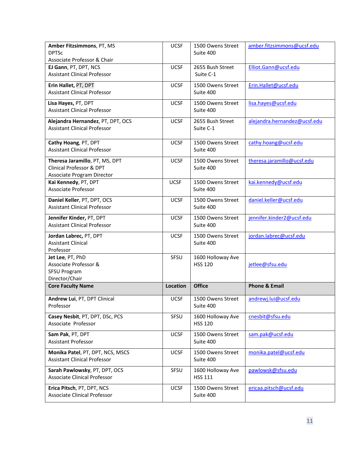| Amber Fitzsimmons, PT, MS<br><b>DPTSc</b> | <b>UCSF</b>     | 1500 Owens Street<br>Suite 400 | amber.fitzsimmons@ucsf.edu   |
|-------------------------------------------|-----------------|--------------------------------|------------------------------|
| Associate Professor & Chair               |                 |                                |                              |
| EJ Gann, PT, DPT, NCS                     | <b>UCSF</b>     | 2655 Bush Street               | Elliot.Gann@ucsf.edu         |
| <b>Assistant Clinical Professor</b>       |                 | Suite C-1                      |                              |
| Erin Hallet, PT, DPT                      | <b>UCSF</b>     | 1500 Owens Street              | Erin.Hallet@ucsf.edu         |
| <b>Assistant Clinical Professor</b>       |                 | Suite 400                      |                              |
| Lisa Hayes, PT, DPT                       | <b>UCSF</b>     | 1500 Owens Street              | lisa.hayes@ucsf.edu          |
| <b>Assistant Clinical Professor</b>       |                 | Suite 400                      |                              |
| Alejandra Hernandez, PT, DPT, OCS         | <b>UCSF</b>     | 2655 Bush Street               | alejandra.hernandez@ucsf.edu |
| <b>Assistant Clinical Professor</b>       |                 | Suite C-1                      |                              |
| Cathy Hoang, PT, DPT                      | <b>UCSF</b>     | 1500 Owens Street              | cathy.hoang@ucsf.edu         |
| <b>Assistant Clinical Professor</b>       |                 | Suite 400                      |                              |
| Theresa Jaramillo, PT, MS, DPT            | <b>UCSF</b>     | 1500 Owens Street              | theresa.jaramillo@ucsf.edu   |
| Clinical Professor & DPT                  |                 | Suite 400                      |                              |
| Associate Program Director                |                 |                                |                              |
| Kai Kennedy, PT, DPT                      | <b>UCSF</b>     | 1500 Owens Street              | kai.kennedy@ucsf.edu         |
| <b>Associate Professor</b>                |                 | Suite 400                      |                              |
| Daniel Keller, PT, DPT, OCS               | <b>UCSF</b>     | 1500 Owens Street              | daniel.keller@ucsf.edu       |
| <b>Assistant Clinical Professor</b>       |                 | Suite 400                      |                              |
| Jennifer Kinder, PT, DPT                  | <b>UCSF</b>     | 1500 Owens Street              | jennifer.kinder2@ucsf.edu    |
| <b>Assistant Clinical Professor</b>       |                 | Suite 400                      |                              |
| Jordan Labrec, PT, DPT                    | <b>UCSF</b>     | 1500 Owens Street              | jordan.labrec@ucsf.edu       |
| <b>Assistant Clinical</b>                 |                 | Suite 400                      |                              |
|                                           |                 |                                |                              |
| Professor                                 |                 |                                |                              |
| Jet Lee, PT, PhD                          | SFSU            | 1600 Holloway Ave              |                              |
| Associate Professor &                     |                 | <b>HSS 120</b>                 | jetlee@sfsu.edu              |
| <b>SFSU Program</b><br>Director/Chair     |                 |                                |                              |
| <b>Core Faculty Name</b>                  | <b>Location</b> | <b>Office</b>                  | <b>Phone &amp; Email</b>     |
| Andrew Lui, PT, DPT Clinical              | <b>UCSF</b>     | 1500 Owens Street              |                              |
| Professor                                 |                 | Suite 400                      | andrewj.lui@ucsf.edu         |
| Casey Nesbit, PT, DPT, DSc, PCS           | SFSU            | 1600 Holloway Ave              | cnesbit@sfsu.edu             |
| Associate Professor                       |                 | <b>HSS 120</b>                 |                              |
| Sam Pak, PT, DPT                          | <b>UCSF</b>     | 1500 Owens Street              | sam.pak@ucsf.edu             |
| Assistant Professor                       |                 | Suite 400                      |                              |
| Monika Patel, PT, DPT, NCS, MSCS          | <b>UCSF</b>     | 1500 Owens Street              | monika.patel@ucsf.edu        |
| <b>Assistant Clinical Professor</b>       |                 | Suite 400                      |                              |
| Sarah Pawlowsky, PT, DPT, OCS             | SFSU            | 1600 Holloway Ave              | pawlowsk@sfsu.edu            |
| <b>Associate Clinical Professor</b>       |                 | <b>HSS 111</b>                 |                              |
| Erica Pitsch, PT, DPT, NCS                | <b>UCSF</b>     | 1500 Owens Street              | ericaa.pitsch@ucsf.edu       |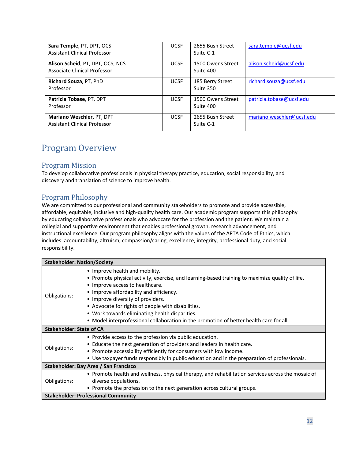| Sara Temple, PT, DPT, OCS<br><b>Assistant Clinical Professor</b> | <b>UCSF</b> | 2655 Bush Street<br>Suite C-1  | sara.temple@ucsf.edu      |
|------------------------------------------------------------------|-------------|--------------------------------|---------------------------|
| Alison Scheid, PT, DPT, OCS, NCS<br>Associate Clinical Professor | <b>UCSF</b> | 1500 Owens Street<br>Suite 400 | alison.scheid@ucsf.edu    |
| Richard Souza, PT, PhD<br>Professor                              | <b>UCSF</b> | 185 Berry Street<br>Suite 350  | richard.souza@ucsf.edu    |
| Patricia Tobase, PT, DPT<br>Professor                            | <b>UCSF</b> | 1500 Owens Street<br>Suite 400 | patricia.tobase@ucsf.edu  |
| Mariano Weschler, PT, DPT<br><b>Assistant Clinical Professor</b> | <b>UCSF</b> | 2655 Bush Street<br>Suite C-1  | mariano.weschler@ucsf.edu |

# <span id="page-11-0"></span>Program Overview

# <span id="page-11-1"></span>Program Mission

To develop collaborative professionals in physical therapy practice, education, social responsibility, and discovery and translation of science to improve health.

# <span id="page-11-2"></span>Program Philosophy

We are committed to our professional and community stakeholders to promote and provide accessible, affordable, equitable, inclusive and high-quality health care. Our academic program supports this philosophy by educating collaborative professionals who advocate for the profession and the patient. We maintain a collegial and supportive environment that enables professional growth, research advancement, and instructional excellence. Our program philosophy aligns with the values of the APTA Code of Ethics, which includes: accountability, altruism, compassion/caring, excellence, integrity, professional duty, and social responsibility.

| <b>Stakeholder: Nation/Society</b> |                                                                                                   |
|------------------------------------|---------------------------------------------------------------------------------------------------|
|                                    | • Improve health and mobility.                                                                    |
|                                    | . Promote physical activity, exercise, and learning-based training to maximize quality of life.   |
|                                    | • Improve access to healthcare.                                                                   |
|                                    | • Improve affordability and efficiency.                                                           |
| Obligations:                       | • Improve diversity of providers.                                                                 |
|                                    | • Advocate for rights of people with disabilities.                                                |
|                                    | • Work towards eliminating health disparities.                                                    |
|                                    | • Model interprofessional collaboration in the promotion of better health care for all.           |
| <b>Stakeholder: State of CA</b>    |                                                                                                   |
|                                    | • Provide access to the profession via public education.                                          |
|                                    | • Educate the next generation of providers and leaders in health care.                            |
| Obligations:                       | • Promote accessibility efficiently for consumers with low income.                                |
|                                    | • Use taxpayer funds responsibly in public education and in the preparation of professionals.     |
|                                    | Stakeholder: Bay Area / San Francisco                                                             |
|                                    | • Promote health and wellness, physical therapy, and rehabilitation services across the mosaic of |
| Obligations:                       | diverse populations.                                                                              |
|                                    | • Promote the profession to the next generation across cultural groups.                           |
|                                    | <b>Stakeholder: Professional Community</b>                                                        |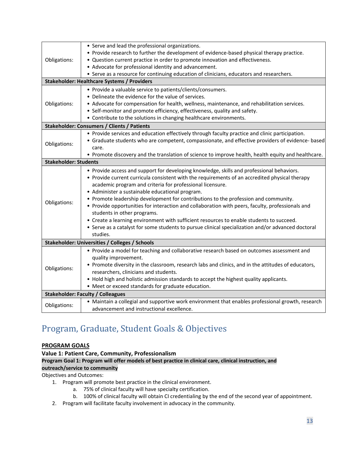| Obligations:                 | • Serve and lead the professional organizations.<br>• Provide research to further the development of evidence-based physical therapy practice.<br>• Question current practice in order to promote innovation and effectiveness.<br>• Advocate for professional identity and advancement.                                                                                                                                                                                                                                                                                                                                                                                                                                                            |
|------------------------------|-----------------------------------------------------------------------------------------------------------------------------------------------------------------------------------------------------------------------------------------------------------------------------------------------------------------------------------------------------------------------------------------------------------------------------------------------------------------------------------------------------------------------------------------------------------------------------------------------------------------------------------------------------------------------------------------------------------------------------------------------------|
|                              | • Serve as a resource for continuing education of clinicians, educators and researchers.                                                                                                                                                                                                                                                                                                                                                                                                                                                                                                                                                                                                                                                            |
|                              | <b>Stakeholder: Healthcare Systems / Providers</b>                                                                                                                                                                                                                                                                                                                                                                                                                                                                                                                                                                                                                                                                                                  |
| Obligations:                 | • Provide a valuable service to patients/clients/consumers.<br>• Delineate the evidence for the value of services.<br>• Advocate for compensation for health, wellness, maintenance, and rehabilitation services.<br>• Self-monitor and promote efficiency, effectiveness, quality and safety.<br>• Contribute to the solutions in changing healthcare environments.                                                                                                                                                                                                                                                                                                                                                                                |
|                              | <b>Stakeholder: Consumers / Clients / Patients</b>                                                                                                                                                                                                                                                                                                                                                                                                                                                                                                                                                                                                                                                                                                  |
| Obligations:                 | • Provide services and education effectively through faculty practice and clinic participation.<br>• Graduate students who are competent, compassionate, and effective providers of evidence- based<br>care.<br>• Promote discovery and the translation of science to improve health, health equity and healthcare.                                                                                                                                                                                                                                                                                                                                                                                                                                 |
| <b>Stakeholder: Students</b> |                                                                                                                                                                                                                                                                                                                                                                                                                                                                                                                                                                                                                                                                                                                                                     |
| Obligations:                 | • Provide access and support for developing knowledge, skills and professional behaviors.<br>• Provide current curricula consistent with the requirements of an accredited physical therapy<br>academic program and criteria for professional licensure.<br>• Administer a sustainable educational program.<br>• Promote leadership development for contributions to the profession and community.<br>• Provide opportunities for interaction and collaboration with peers, faculty, professionals and<br>students in other programs.<br>• Create a learning environment with sufficient resources to enable students to succeed.<br>• Serve as a catalyst for some students to pursue clinical specialization and/or advanced doctoral<br>studies. |
|                              | Stakeholder: Universities / Colleges / Schools                                                                                                                                                                                                                                                                                                                                                                                                                                                                                                                                                                                                                                                                                                      |
| Obligations:                 | • Provide a model for teaching and collaborative research based on outcomes assessment and<br>quality improvement.<br>• Promote diversity in the classroom, research labs and clinics, and in the attitudes of educators,<br>researchers, clinicians and students.<br>• Hold high and holistic admission standards to accept the highest quality applicants.<br>• Meet or exceed standards for graduate education.                                                                                                                                                                                                                                                                                                                                  |
|                              | <b>Stakeholder: Faculty / Colleagues</b>                                                                                                                                                                                                                                                                                                                                                                                                                                                                                                                                                                                                                                                                                                            |
| Obligations:                 | • Maintain a collegial and supportive work environment that enables professional growth, research<br>advancement and instructional excellence.                                                                                                                                                                                                                                                                                                                                                                                                                                                                                                                                                                                                      |

# <span id="page-12-0"></span>Program, Graduate, Student Goals & Objectives

### **PROGRAM GOALS**

**Value 1: Patient Care, Community, Professionalism Program Goal 1: Program will offer models of best practice in clinical care, clinical instruction, and outreach/service to community** Objectives and Outcomes:

- 1. Program will promote best practice in the clinical environment.
	- a. 75% of clinical faculty will have specialty certification.
		- b. 100% of clinical faculty will obtain CI credentialing by the end of the second year of appointment.
- 2. Program will facilitate faculty involvement in advocacy in the community.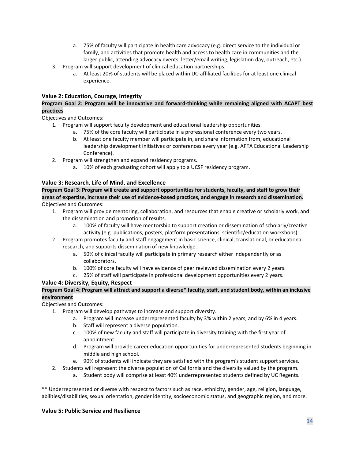- a. 75% of faculty will participate in health care advocacy (e.g. direct service to the individual or family, and activities that promote health and access to health care in communities and the larger public, attending advocacy events, letter/email writing, legislation day, outreach, etc.).
- 3. Program will support development of clinical education partnerships.
	- a. At least 20% of students will be placed within UC-affiliated facilities for at least one clinical experience.

## **Value 2: Education, Courage, Integrity**

#### **Program Goal 2: Program will be innovative and forward-thinking while remaining aligned with ACAPT best practices**

Objectives and Outcomes:

- 1. Program will support faculty development and educational leadership opportunities.
	- a. 75% of the core faculty will participate in a professional conference every two years.
	- b. At least one faculty member will participate in, and share information from, educational leadership development initiatives or conferences every year (e.g. APTA Educational Leadership Conference).
- 2. Program will strengthen and expand residency programs.
	- a. 10% of each graduating cohort will apply to a UCSF residency program.

### **Value 3: Research, Life of Mind, and Excellence**

**Program Goal 3: Program will create and support opportunities for students, faculty, and staff to grow their areas of expertise, increase their use of evidence-based practices, and engage in research and dissemination.**  Objectives and Outcomes:

- 1. Program will provide mentoring, collaboration, and resources that enable creative or scholarly work, and the dissemination and promotion of results.
	- a. 100% of faculty will have mentorship to support creation or dissemination of scholarly/creative activity (e.g. publications, posters, platform presentations, scientific/education workshops).
- 2. Program promotes faculty and staff engagement in basic science, clinical, translational, or educational research, and supports dissemination of new knowledge.
	- a. 50% of clinical faculty will participate in primary research either independently or as collaborators.
	- b. 100% of core faculty will have evidence of peer reviewed dissemination every 2 years.
	- c. 25% of staff will participate in professional development opportunities every 2 years.

### **Value 4: Diversity, Equity, Respect**

#### **Program Goal 4: Program will attract and support a diverse\* faculty, staff, and student body, within an inclusive environment**

Objectives and Outcomes:

- 1. Program will develop pathways to increase and support diversity.
	- a. Program will increase underrepresented faculty by 3% within 2 years, and by 6% in 4 years.
	- b. Staff will represent a diverse population.
	- c. 100% of new faculty and staff will participate in diversity training with the first year of appointment.
	- d. Program will provide career education opportunities for underrepresented students beginning in middle and high school.
	- e. 90% of students will indicate they are satisfied with the program's student support services.
- 2. Students will represent the diverse population of California and the diversity valued by the program.
	- a. Student body will comprise at least 40% underrepresented students defined by UC Regents.

\*\* Underrepresented or diverse with respect to factors such as race, ethnicity, gender, age, religion, language, abilities/disabilities, sexual orientation, gender identity, socioeconomic status, and geographic region, and more.

#### **Value 5: Public Service and Resilience**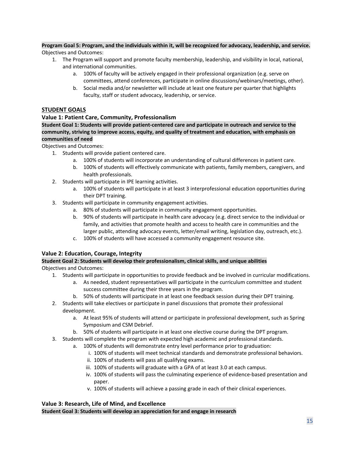#### **Program Goal 5: Program, and the individuals within it, will be recognized for advocacy, leadership, and service.**

Objectives and Outcomes:

- 1. The Program will support and promote faculty membership, leadership, and visibility in local, national, and international communities.
	- a. 100% of faculty will be actively engaged in their professional organization (e.g. serve on committees, attend conferences, participate in online discussions/webinars/meetings, other).
	- b. Social media and/or newsletter will include at least one feature per quarter that highlights faculty, staff or student advocacy, leadership, or service.

#### **STUDENT GOALS**

#### **Value 1: Patient Care, Community, Professionalism**

**Student Goal 1: Students will provide patient-centered care and participate in outreach and service to the community, striving to improve access, equity, and quality of treatment and education, with emphasis on communities of need**

Objectives and Outcomes:

- 1. Students will provide patient centered care.
	- a. 100% of students will incorporate an understanding of cultural differences in patient care.
	- b. 100% of students will effectively communicate with patients, family members, caregivers, and health professionals.
- 2. Students will participate in IPE learning activities.
	- a. 100% of students will participate in at least 3 interprofessional education opportunities during their DPT training.
- 3. Students will participate in community engagement activities.
	- a. 80% of students will participate in community engagement opportunities.
	- b. 90% of students will participate in health care advocacy (e.g. direct service to the individual or family, and activities that promote health and access to health care in communities and the larger public, attending advocacy events, letter/email writing, legislation day, outreach, etc.).
	- c. 100% of students will have accessed a community engagement resource site.

### **Value 2: Education, Courage, Integrity**

#### **Student Goal 2: Students will develop their professionalism, clinical skills, and unique abilities**  Objectives and Outcomes:

- 1. Students will participate in opportunities to provide feedback and be involved in curricular modifications.
	- a. As needed, student representatives will participate in the curriculum committee and student success committee during their three years in the program.
	- b. 50% of students will participate in at least one feedback session during their DPT training.
- 2. Students will take electives or participate in panel discussions that promote their professional development.
	- a. At least 95% of students will attend or participate in professional development, such as Spring Symposium and CSM Debrief.
	- b. 50% of students will participate in at least one elective course during the DPT program.
- 3. Students will complete the program with expected high academic and professional standards.
	- a. 100% of students will demonstrate entry level performance prior to graduation:
		- i. 100% of students will meet technical standards and demonstrate professional behaviors.
		- ii. 100% of students will pass all qualifying exams.
		- iii. 100% of students will graduate with a GPA of at least 3.0 at each campus.
		- iv. 100% of students will pass the culminating experience of evidence-based presentation and paper.
		- v. 100% of students will achieve a passing grade in each of their clinical experiences.

# **Value 3: Research, Life of Mind, and Excellence**

**Student Goal 3: Students will develop an appreciation for and engage in research**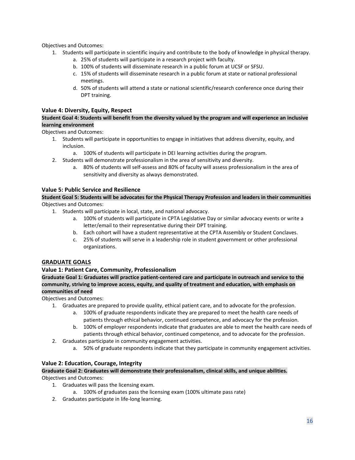Objectives and Outcomes:

- 1. Students will participate in scientific inquiry and contribute to the body of knowledge in physical therapy.
	- a. 25% of students will participate in a research project with faculty.
	- b. 100% of students will disseminate research in a public forum at UCSF or SFSU.
	- c. 15% of students will disseminate research in a public forum at state or national professional meetings.
	- d. 50% of students will attend a state or national scientific/research conference once during their DPT training.

### **Value 4: Diversity, Equity, Respect**

### **Student Goal 4: Students will benefit from the diversity valued by the program and will experience an inclusive learning environment**

Objectives and Outcomes:

- 1. Students will participate in opportunities to engage in initiatives that address diversity, equity, and inclusion.
	- a. 100% of students will participate in DEI learning activities during the program.
- 2. Students will demonstrate professionalism in the area of sensitivity and diversity.
	- a. 80% of students will self-assess and 80% of faculty will assess professionalism in the area of sensitivity and diversity as always demonstrated.

### **Value 5: Public Service and Resilience**

**Student Goal 5: Students will be advocates for the Physical Therapy Profession and leaders in their communities** Objectives and Outcomes:

- 1. Students will participate in local, state, and national advocacy.
	- a. 100% of students will participate in CPTA Legislative Day or similar advocacy events or write a letter/email to their representative during their DPT training.
	- b. Each cohort will have a student representative at the CPTA Assembly or Student Conclaves.
	- c. 25% of students will serve in a leadership role in student government or other professional organizations.

# **GRADUATE GOALS**

### **Value 1: Patient Care, Community, Professionalism**

**Graduate Goal 1: Graduates will practice patient-centered care and participate in outreach and service to the community, striving to improve access, equity, and quality of treatment and education, with emphasis on communities of need**

Objectives and Outcomes:

- 1. Graduates are prepared to provide quality, ethical patient care, and to advocate for the profession.
	- a. 100% of graduate respondents indicate they are prepared to meet the health care needs of patients through ethical behavior, continued competence, and advocacy for the profession.
	- b. 100% of employer respondents indicate that graduates are able to meet the health care needs of patients through ethical behavior, continued competence, and to advocate for the profession.
- 2. Graduates participate in community engagement activities.
	- a. 50% of graduate respondents indicate that they participate in community engagement activities.

# **Value 2: Education, Courage, Integrity**

**Graduate Goal 2: Graduates will demonstrate their professionalism, clinical skills, and unique abilities.**  Objectives and Outcomes:

- 1. Graduates will pass the licensing exam.
	- a. 100% of graduates pass the licensing exam (100% ultimate pass rate)
- 2. Graduates participate in life-long learning.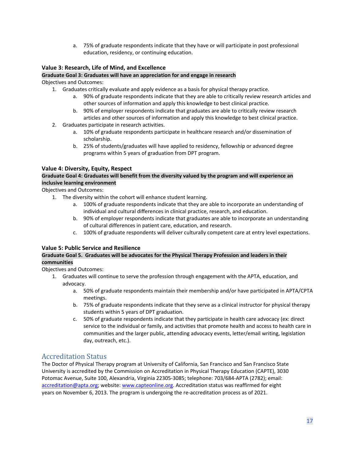a. 75% of graduate respondents indicate that they have or will participate in post professional education, residency, or continuing education.

### **Value 3: Research, Life of Mind, and Excellence**

#### **Graduate Goal 3: Graduates will have an appreciation for and engage in research**  Objectives and Outcomes:

- 1. Graduates critically evaluate and apply evidence as a basis for physical therapy practice.
	- a. 90% of graduate respondents indicate that they are able to critically review research articles and other sources of information and apply this knowledge to best clinical practice.
	- b. 90% of employer respondents indicate that graduates are able to critically review research articles and other sources of information and apply this knowledge to best clinical practice.
- 2. Graduates participate in research activities.
	- a. 10% of graduate respondents participate in healthcare research and/or dissemination of scholarship.
	- b. 25% of students/graduates will have applied to residency, fellowship or advanced degree programs within 5 years of graduation from DPT program.

### **Value 4: Diversity, Equity, Respect**

#### **Graduate Goal 4: Graduates will benefit from the diversity valued by the program and will experience an inclusive learning environment**

Objectives and Outcomes:

- 1. The diversity within the cohort will enhance student learning.
	- a. 100% of graduate respondents indicate that they are able to incorporate an understanding of individual and cultural differences in clinical practice, research, and education.
	- b. 90% of employer respondents indicate that graduates are able to incorporate an understanding of cultural differences in patient care, education, and research.
	- c. 100% of graduate respondents will deliver culturally competent care at entry level expectations.

### **Value 5: Public Service and Resilience**

### **Graduate Goal 5. Graduates will be advocates for the Physical Therapy Profession and leaders in their communities**

Objectives and Outcomes:

- 1. Graduates will continue to serve the profession through engagement with the APTA, education, and advocacy.
	- a. 50% of graduate respondents maintain their membership and/or have participated in APTA/CPTA meetings.
	- b. 75% of graduate respondents indicate that they serve as a clinical instructor for physical therapy students within 5 years of DPT graduation.
	- c. 50% of graduate respondents indicate that they participate in health care advocacy (ex: direct service to the individual or family, and activities that promote health and access to health care in communities and the larger public, attending advocacy events, letter/email writing, legislation day, outreach, etc.).

# <span id="page-16-0"></span>Accreditation Status

The Doctor of Physical Therapy program at University of California, San Francisco and San Francisco State University is accredited by the Commission on Accreditation in Physical Therapy Education (CAPTE), 3030 Potomac Avenue, Suite 100, Alexandria, Virginia 22305-3085; telephone: 703/684-APTA (2782); email: [accreditation@apta.org;](mailto:accreditation@apta.org) website[: www.capteonline.org. A](http://www.capteonline.org/)ccreditation status was reaffirmed for eight years on November 6, 2013. The program is undergoing the re-accreditation process as of 2021.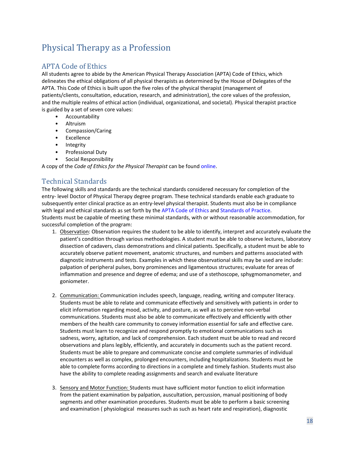# <span id="page-17-0"></span>Physical Therapy as a Profession

# <span id="page-17-1"></span>APTA Code of Ethics

All students agree to abide by the American Physical Therapy Association (APTA) Code of Ethics, which delineates the ethical obligations of all physical therapists as determined by the House of Delegates of the APTA. This Code of Ethics is built upon the five roles of the physical therapist (management of patients/clients, consultation, education, research, and administration), the core values of the profession, and the multiple realms of ethical action (individual, organizational, and societal). Physical therapist practice is guided by a set of seven core values:

- **Accountability**
- Altruism
- Compassion/Caring
- **Excellence**
- Integrity
- Professional Duty
- Social Responsibility

A copy of the *Code of Ethics for the Physical Therapist* can be found [online.](http://www.apta.org/uploadedFiles/APTAorg/About_Us/Policies/Ethics/CodeofEthics.pdf)

# <span id="page-17-2"></span>Technical Standards

The following skills and standards are the technical standards considered necessary for completion of the entry- level Doctor of Physical Therapy degree program. These technical standards enable each graduate to subsequently enter clinical practice as an entry-level physical therapist. Students must also be in compliance with legal and ethical standards as set forth by the [APTA Code of Ethics](http://www.apta.org/uploadedFiles/APTAorg/About_Us/Policies/Ethics/CodeofEthics.pdf) an[d Standards of Practice.](http://www.apta.org/uploadedFiles/APTAorg/About_Us/Policies/HOD/Practice/Standards.pdf) Students must be capable of meeting these minimal standards, with or without reasonable accommodation, for successful completion of the program:

- 1. Observation: Observation requires the student to be able to identify, interpret and accurately evaluate the patient's condition through various methodologies. A student must be able to observe lectures, laboratory dissection of cadavers, class demonstrations and clinical patients. Specifically, a student must be able to accurately observe patient movement, anatomic structures, and numbers and patterns associated with diagnostic instruments and tests. Examples in which these observational skills may be used are include: palpation of peripheral pulses, bony prominences and ligamentous structures; evaluate for areas of inflammation and presence and degree of edema; and use of a stethoscope, sphygmomanometer, and goniometer.
- 2. Communication: Communication includes speech, language, reading, writing and computer literacy. Students must be able to relate and communicate effectively and sensitively with patients in order to elicit information regarding mood, activity, and posture, as well as to perceive non-verbal communications. Students must also be able to communicate effectively and efficiently with other members of the health care community to convey information essential for safe and effective care. Students must learn to recognize and respond promptly to emotional communications such as sadness, worry, agitation, and lack of comprehension. Each student must be able to read and record observations and plans legibly, efficiently, and accurately in documents such as the patient record. Students must be able to prepare and communicate concise and complete summaries of individual encounters as well as complex, prolonged encounters, including hospitalizations. Students must be able to complete forms according to directions in a complete and timely fashion. Students must also have the ability to complete reading assignments and search and evaluate literature
- 3. Sensory and Motor Function: Students must have sufficient motor function to elicit information from the patient examination by palpation, auscultation, percussion, manual positioning of body segments and other examination procedures. Students must be able to perform a basic screening and examination ( physiological measures such as such as heart rate and respiration), diagnostic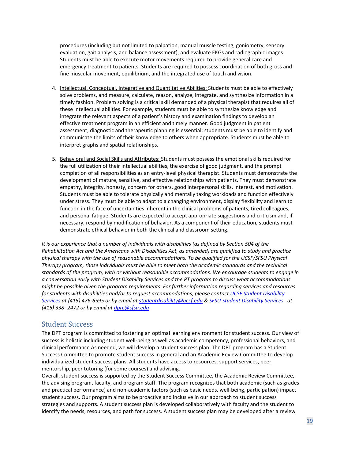procedures (including but not limited to palpation, manual muscle testing, goniometry, sensory evaluation, gait analysis, and balance assessment), and evaluate EKGs and radiographic images. Students must be able to execute motor movements required to provide general care and emergency treatment to patients. Students are required to possess coordination of both gross and fine muscular movement, equilibrium, and the integrated use of touch and vision.

- 4. Intellectual, Conceptual, Integrative and Quantitative Abilities: Students must be able to effectively solve problems, and measure, calculate, reason, analyze, integrate, and synthesize information in a timely fashion. Problem solving is a critical skill demanded of a physical therapist that requires all of these intellectual abilities. For example, students must be able to synthesize knowledge and integrate the relevant aspects of a patient's history and examination findings to develop an effective treatment program in an efficient and timely manner. Good judgment in patient assessment, diagnostic and therapeutic planning is essential; students must be able to identify and communicate the limits of their knowledge to others when appropriate. Students must be able to interpret graphs and spatial relationships.
- 5. Behavioral and Social Skills and Attributes: Students must possess the emotional skills required for the full utilization of their intellectual abilities, the exercise of good judgment, and the prompt completion of all responsibilities as an entry-level physical therapist. Students must demonstrate the development of mature, sensitive, and effective relationships with patients. They must demonstrate empathy, integrity, honesty, concern for others, good interpersonal skills, interest, and motivation. Students must be able to tolerate physically and mentally taxing workloads and function effectively under stress. They must be able to adapt to a changing environment, display flexibility and learn to function in the face of uncertainties inherent in the clinical problems of patients, tired colleagues, and personal fatigue. Students are expected to accept appropriate suggestions and criticism and, if necessary, respond by modification of behavior. As a component of their education, students must demonstrate ethical behavior in both the clinical and classroom setting.

*It is our experience that a number of individuals with disabilities (as defined by Section 504 of the Rehabilitation Act and the Americans with Disabilities Act, as amended) are qualified to study and practice physical therapy with the use of reasonable accommodations. To be qualified for the UCSF/SFSU Physical Therapy program, those individuals must be able to meet both the academic standards and the technical standards of the program, with or without reasonable accommodations. We encourage students to engage in a conversation early with Student Disability Services and the PT program to discuss what accommodations might be possible given the program requirements. For further information regarding services and resources for students with disabilities and/or to request accommodations, please contact [UCSF Student Disability](https://sds.ucsf.edu/)  [Services](https://sds.ucsf.edu/) at (415) 476-6595 or by email at [studentdisability@ucsf.edu](mailto:studentdisability@ucsf.edu) & [SFSU Student Disability Services](https://access.sfsu.edu/student) at (415) 338- 2472 or by email a[t dprc@sfsu.edu](mailto:dprc@sfsu.edu)*

## <span id="page-18-0"></span>Student Success

The DPT program is committed to fostering an optimal learning environment for student success. Our view of success is holistic including student well-being as well as academic competency, professional behaviors, and clinical performance As needed, we will develop a student success plan. The DPT program has a Student Success Committee to promote student success in general and an Academic Review Committee to develop individualized student success plans. All students have access to resources, support services, peer mentorship, peer tutoring (for some courses) and advising.

Overall, student success is supported by the Student Success Committee, the Academic Review Committee, the advising program, faculty, and program staff. The program recognizes that both academic (such as grades and practical performance) and non-academic factors (such as basic needs, well-being, participation) impact student success. Our program aims to be proactive and inclusive in our approach to student success strategies and supports. A student success plan is developed collaboratively with faculty and the student to identify the needs, resources, and path for success. A student success plan may be developed after a review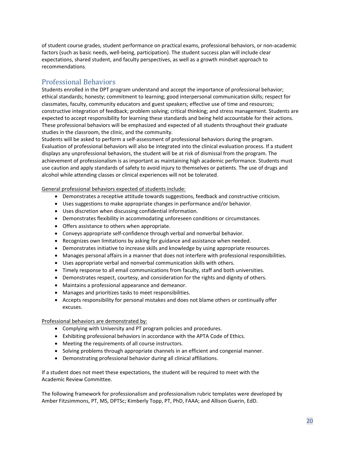of student course grades, student performance on practical exams, professional behaviors, or non-academic factors (such as basic needs, well-being, participation). The student success plan will include clear expectations, shared student, and faculty perspectives, as well as a growth mindset approach to recommendations.

# <span id="page-19-0"></span>Professional Behaviors

Students enrolled in the DPT program understand and accept the importance of professional behavior; ethical standards; honesty; commitment to learning; good interpersonal communication skills; respect for classmates, faculty, community educators and guest speakers; effective use of time and resources; constructive integration of feedback; problem solving; critical thinking; and stress management. Students are expected to accept responsibility for learning these standards and being held accountable for their actions. These professional behaviors will be emphasized and expected of all students throughout their graduate studies in the classroom, the clinic, and the community.

Students will be asked to perform a self-assessment of professional behaviors during the program. Evaluation of professional behaviors will also be integrated into the clinical evaluation process. If a student displays any unprofessional behaviors, the student will be at risk of dismissal from the program. The achievement of professionalism is as important as maintaining high academic performance. Students must use caution and apply standards of safety to avoid injury to themselves or patients. The use of drugs and alcohol while attending classes or clinical experiences will not be tolerated.

General professional behaviors expected of students include:

- Demonstrates a receptive attitude towards suggestions, feedback and constructive criticism.
- Uses suggestions to make appropriate changes in performance and/or behavior.
- Uses discretion when discussing confidential information.
- Demonstrates flexibility in accommodating unforeseen conditions or circumstances.
- Offers assistance to others when appropriate.
- Conveys appropriate self-confidence through verbal and nonverbal behavior.
- Recognizes own limitations by asking for guidance and assistance when needed.
- Demonstrates initiative to increase skills and knowledge by using appropriate resources.
- Manages personal affairs in a manner that does not interfere with professional responsibilities.
- Uses appropriate verbal and nonverbal communication skills with others.
- Timely response to all email communications from faculty, staff and both universities.
- Demonstrates respect, courtesy, and consideration for the rights and dignity of others.
- Maintains a professional appearance and demeanor.
- Manages and prioritizes tasks to meet responsibilities.
- Accepts responsibility for personal mistakes and does not blame others or continually offer excuses.

Professional behaviors are demonstrated by:

- Complying with University and PT program policies and procedures.
- Exhibiting professional behaviors in accordance with the APTA Code of Ethics.
- Meeting the requirements of all course instructors.
- Solving problems through appropriate channels in an efficient and congenial manner.
- Demonstrating professional behavior during all clinical affiliations.

If a student does not meet these expectations, the student will be required to meet with the Academic Review Committee.

The following framework for professionalism and professionalism rubric templates were developed by Amber Fitzsimmons, PT, MS, DPTSc; Kimberly Topp, PT, PhD, FAAA; and Allison Guerin, EdD.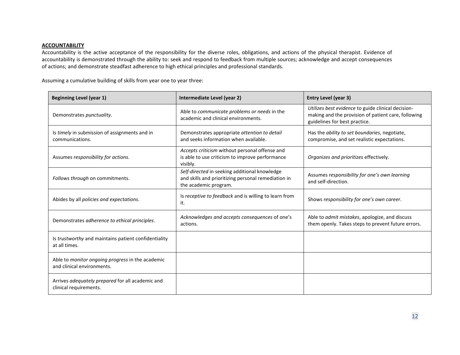#### **ACCOUNTABILITY**

Accountability is the active acceptance of the responsibility for the diverse roles, obligations, and actions of the physical therapist. Evidence of accountability is demonstrated through the ability to: seek and respond to feedback from multiple sources; acknowledge and accept consequences of actions; and demonstrate steadfast adherence to high ethical principles and professional standards.

Assuming a cumulative building of skills from year one to year three:

| <b>Beginning Level (year 1)</b>                                                | Intermediate Level (year 2)                                                                                                   | Entry Level (year 3)                                                                                                                       |
|--------------------------------------------------------------------------------|-------------------------------------------------------------------------------------------------------------------------------|--------------------------------------------------------------------------------------------------------------------------------------------|
| Demonstrates punctuality.                                                      | Able to communicate problems or needs in the<br>academic and clinical environments.                                           | Utilizes best evidence to guide clinical decision-<br>making and the provision of patient care, following<br>guidelines for best practice. |
| Is timely in submission of assignments and in<br>communications.               | Demonstrates appropriate attention to detail<br>and seeks information when available.                                         | Has the ability to set boundaries, negotiate,<br>compromise, and set realistic expectations.                                               |
| Assumes responsibility for actions.                                            | Accepts criticism without personal offense and<br>is able to use criticism to improve performance<br>visibly.                 | Organizes and prioritizes effectively.                                                                                                     |
| Follows through on commitments.                                                | Self-directed in seeking additional knowledge<br>and skills and prioritizing personal remediation in<br>the academic program. | Assumes responsibility for one's own learning<br>and self-direction.                                                                       |
| Abides by all policies and expectations.                                       | Is receptive to feedback and is willing to learn from<br>it.                                                                  | Shows responsibility for one's own career.                                                                                                 |
| Demonstrates adherence to ethical principles.                                  | Acknowledges and accepts consequences of one's<br>actions.                                                                    | Able to <i>admit mistakes</i> , apologize, and discuss<br>them openly. Takes steps to prevent future errors.                               |
| Is trustworthy and maintains patient confidentiality<br>at all times.          |                                                                                                                               |                                                                                                                                            |
| Able to monitor ongoing progress in the academic<br>and clinical environments. |                                                                                                                               |                                                                                                                                            |
| Arrives adequately prepared for all academic and<br>clinical requirements.     |                                                                                                                               |                                                                                                                                            |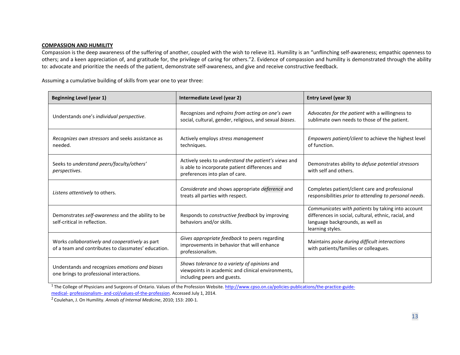#### **COMPASSION AND HUMILITY**

Compassion is the deep awareness of the suffering of another, coupled with the wish to relieve it1. Humility is an "unflinching self-awareness; empathic openness to others; and a keen appreciation of, and gratitude for, the privilege of caring for others."2. Evidence of compassion and humility is demonstrated through the ability to: advocate and prioritize the needs of the patient, demonstrate self-awareness, and give and receive constructive feedback.

Assuming a cumulative building of skills from year one to year three:

| <b>Beginning Level (year 1)</b>                                                                        | Intermediate Level (year 2)                                                                                                              | <b>Entry Level (year 3)</b>                                                                                                                                       |
|--------------------------------------------------------------------------------------------------------|------------------------------------------------------------------------------------------------------------------------------------------|-------------------------------------------------------------------------------------------------------------------------------------------------------------------|
| Understands one's individual perspective.                                                              | Recognizes and refrains from acting on one's own<br>social, cultural, gender, religious, and sexual biases.                              | Advocates for the patient with a willingness to<br>sublimate own needs to those of the patient.                                                                   |
| Recognizes own stressors and seeks assistance as<br>needed.                                            | Actively employs stress management<br>techniques.                                                                                        | Empowers patient/client to achieve the highest level<br>of function.                                                                                              |
| Seeks to understand peers/faculty/others'<br>perspectives.                                             | Actively seeks to understand the patient's views and<br>is able to incorporate patient differences and<br>preferences into plan of care. | Demonstrates ability to defuse potential stressors<br>with self and others.                                                                                       |
| Listens attentively to others.                                                                         | Considerate and shows appropriate deference and<br>treats all parties with respect.                                                      | Completes patient/client care and professional<br>responsibilities prior to attending to personal needs.                                                          |
| Demonstrates self-awareness and the ability to be<br>self-critical in reflection.                      | Responds to <i>constructive feedback</i> by improving<br>behaviors and/or skills.                                                        | Communicates with patients by taking into account<br>differences in social, cultural, ethnic, racial, and<br>language backgrounds, as well as<br>learning styles. |
| Works collaboratively and cooperatively as part<br>of a team and contributes to classmates' education. | Gives appropriate feedback to peers regarding<br>improvements in behavior that will enhance<br>professionalism.                          | Maintains poise during difficult interactions<br>with patients/families or colleagues.                                                                            |
| Understands and recognizes emotions and biases<br>one brings to professional interactions.             | Shows tolerance to a variety of opinions and<br>viewpoints in academic and clinical environments,<br>including peers and guests.         |                                                                                                                                                                   |

<sup>1</sup> The College of Physicians and Surgeons of Ontario. Values of the Profession Website[. http://www.cpso.on.ca/policies-publications/the-practice-guide](http://www.cpso.on.ca/policies-publications/the-practice-guide-medical-)[medical-](http://www.cpso.on.ca/policies-publications/the-practice-guide-medical-) professionalism- and-col/values-of-the-profession. Accessed July 1, 2014.

2 Coulehan, J. On Humility. *Annals of Internal Medicine*, 2010; 153: 200-1.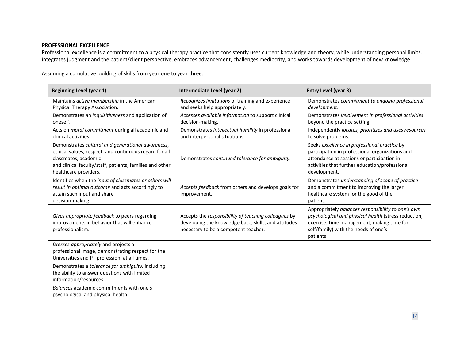### **PROFESSIONAL EXCELLENCE**

Professional excellence is a commitment to a physical therapy practice that consistently uses current knowledge and theory, while understanding personal limits, integrates judgment and the patient/client perspective, embraces advancement, challenges mediocrity, and works towards development of new knowledge.

Assuming a cumulative building of skills from year one to year three:

| <b>Beginning Level (year 1)</b>                                                                                                                                                                                          | Intermediate Level (year 2)                                                                                                                          | Entry Level (year 3)                                                                                                                                                                                            |
|--------------------------------------------------------------------------------------------------------------------------------------------------------------------------------------------------------------------------|------------------------------------------------------------------------------------------------------------------------------------------------------|-----------------------------------------------------------------------------------------------------------------------------------------------------------------------------------------------------------------|
| Maintains active membership in the American<br>Physical Therapy Association.                                                                                                                                             | Recognizes limitations of training and experience<br>and seeks help appropriately.                                                                   | Demonstrates commitment to ongoing professional<br>development.                                                                                                                                                 |
| Demonstrates an inquisitiveness and application of<br>oneself.                                                                                                                                                           | Accesses available information to support clinical<br>decision-making.                                                                               | Demonstrates involvement in professional activities<br>beyond the practice setting.                                                                                                                             |
| Acts on moral commitment during all academic and<br>clinical activities.                                                                                                                                                 | Demonstrates intellectual humility in professional<br>and interpersonal situations.                                                                  | Independently locates, prioritizes and uses resources<br>to solve problems.                                                                                                                                     |
| Demonstrates cultural and generational awareness,<br>ethical values, respect, and continuous regard for all<br>classmates, academic<br>and clinical faculty/staff, patients, families and other<br>healthcare providers. | Demonstrates continued tolerance for ambiguity.                                                                                                      | Seeks excellence in professional practice by<br>participation in professional organizations and<br>attendance at sessions or participation in<br>activities that further education/professional<br>development. |
| Identifies when the input of classmates or others will<br>result in optimal outcome and acts accordingly to<br>attain such input and share<br>decision-making.                                                           | Accepts feedback from others and develops goals for<br>improvement.                                                                                  | Demonstrates understanding of scope of practice<br>and a commitment to improving the larger<br>healthcare system for the good of the<br>patient.                                                                |
| Gives appropriate feedback to peers regarding<br>improvements in behavior that will enhance<br>professionalism.                                                                                                          | Accepts the responsibility of teaching colleagues by<br>developing the knowledge base, skills, and attitudes<br>necessary to be a competent teacher. | Appropriately balances responsibility to one's own<br>psychological and physical health (stress reduction,<br>exercise, time management, making time for<br>self/family) with the needs of one's<br>patients.   |
| Dresses appropriately and projects a<br>professional image, demonstrating respect for the<br>Universities and PT profession, at all times.                                                                               |                                                                                                                                                      |                                                                                                                                                                                                                 |
| Demonstrates a tolerance for ambiguity, including<br>the ability to answer questions with limited<br>information/resources.                                                                                              |                                                                                                                                                      |                                                                                                                                                                                                                 |
| Balances academic commitments with one's<br>psychological and physical health.                                                                                                                                           |                                                                                                                                                      |                                                                                                                                                                                                                 |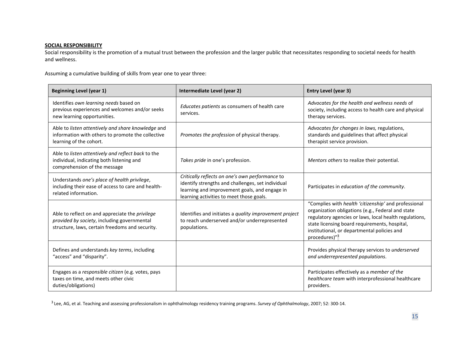# **SOCIAL RESPONSIBILITY**

Social responsibility is the promotion of a mutual trust between the profession and the larger public that necessitates responding to societal needs for health and wellness.

Assuming a cumulative building of skills from year one to year three:

| <b>Beginning Level (year 1)</b>                                                                                                                   | Intermediate Level (year 2)                                                                                                                                                                       | Entry Level (year 3)                                                                                                                                                                                                                                                                             |
|---------------------------------------------------------------------------------------------------------------------------------------------------|---------------------------------------------------------------------------------------------------------------------------------------------------------------------------------------------------|--------------------------------------------------------------------------------------------------------------------------------------------------------------------------------------------------------------------------------------------------------------------------------------------------|
| Identifies own learning needs based on<br>previous experiences and welcomes and/or seeks<br>new learning opportunities.                           | Educates patients as consumers of health care<br>services.                                                                                                                                        | Advocates for the health and wellness needs of<br>society, including access to health care and physical<br>therapy services.                                                                                                                                                                     |
| Able to listen attentively and share knowledge and<br>information with others to promote the collective<br>learning of the cohort.                | Promotes the profession of physical therapy.                                                                                                                                                      | Advocates for changes in laws, regulations,<br>standards and guidelines that affect physical<br>therapist service provision.                                                                                                                                                                     |
| Able to listen attentively and reflect back to the<br>individual, indicating both listening and<br>comprehension of the message                   | Takes pride in one's profession.                                                                                                                                                                  | Mentors others to realize their potential.                                                                                                                                                                                                                                                       |
| Understands one's place of health privilege,<br>including their ease of access to care and health-<br>related information.                        | Critically reflects on one's own performance to<br>identify strengths and challenges, set individual<br>learning and improvement goals, and engage in<br>learning activities to meet those goals. | Participates in education of the community.                                                                                                                                                                                                                                                      |
| Able to reflect on and appreciate the privilege<br>provided by society, including governmental<br>structure, laws, certain freedoms and security. | Identifies and initiates a quality improvement project<br>to reach underserved and/or underrepresented<br>populations.                                                                            | "Complies with health 'citizenship' and professional<br>organization obligations (e.g., Federal and state<br>regulatory agencies or laws, local health regulations,<br>state licensing board requirements, hospital,<br>institutional, or departmental policies and<br>procedures)" <sup>3</sup> |
| Defines and understands key terms, including<br>"access" and "disparity".                                                                         |                                                                                                                                                                                                   | Provides physical therapy services to underserved<br>and underrepresented populations.                                                                                                                                                                                                           |
| Engages as a responsible citizen (e.g. votes, pays<br>taxes on time, and meets other civic<br>duties/obligations)                                 |                                                                                                                                                                                                   | Participates effectively as a member of the<br>healthcare team with interprofessional healthcare<br>providers.                                                                                                                                                                                   |

3 Lee, AG, et al. Teaching and assessing professionalism in ophthalmology residency training programs. *Survey of Ophthalmology*, 2007; 52: 300-14.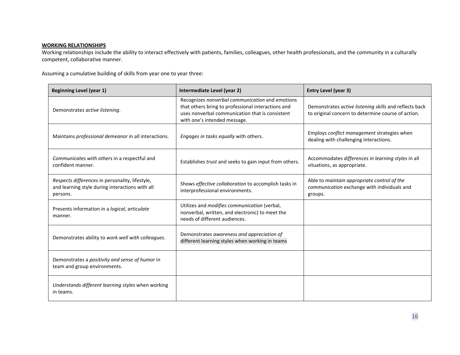#### **WORKING RELATIONSHIPS**

Working relationships include the ability to interact effectively with patients, families, colleagues, other health professionals, and the community in a culturally competent, collaborative manner.

Assuming a cumulative building of skills from year one to year three:

| <b>Beginning Level (year 1)</b>                                                                                | Intermediate Level (year 2)                                                                                                                                                              | <b>Entry Level (year 3)</b>                                                                                  |
|----------------------------------------------------------------------------------------------------------------|------------------------------------------------------------------------------------------------------------------------------------------------------------------------------------------|--------------------------------------------------------------------------------------------------------------|
| Demonstrates active listening.                                                                                 | Recognizes nonverbal communication and emotions<br>that others bring to professional interactions and<br>uses nonverbal communication that is consistent<br>with one's intended message. | Demonstrates active listening skills and reflects back<br>to original concern to determine course of action. |
| Maintains professional demeanor in all interactions.                                                           | Engages in tasks equally with others.                                                                                                                                                    | Employs conflict management strategies when<br>dealing with challenging interactions.                        |
| Communicates with others in a respectful and<br>confident manner.                                              | Establishes trust and seeks to gain input from others.                                                                                                                                   | Accommodates differences in learning styles in all<br>situations, as appropriate.                            |
| Respects differences in personality, lifestyle,<br>and learning style during interactions with all<br>persons. | Shows effective collaboration to accomplish tasks in<br>interprofessional environments.                                                                                                  | Able to maintain appropriate control of the<br>communication exchange with individuals and<br>groups.        |
| Presents information in a logical, articulate<br>manner.                                                       | Utilizes and modifies communication (verbal,<br>nonverbal, written, and electronic) to meet the<br>needs of different audiences.                                                         |                                                                                                              |
| Demonstrates ability to work well with colleagues.                                                             | Demonstrates awareness and appreciation of<br>different learning styles when working in teams                                                                                            |                                                                                                              |
| Demonstrates a positivity and sense of humor in<br>team and group environments.                                |                                                                                                                                                                                          |                                                                                                              |
| Understands different learning styles when working<br>in teams.                                                |                                                                                                                                                                                          |                                                                                                              |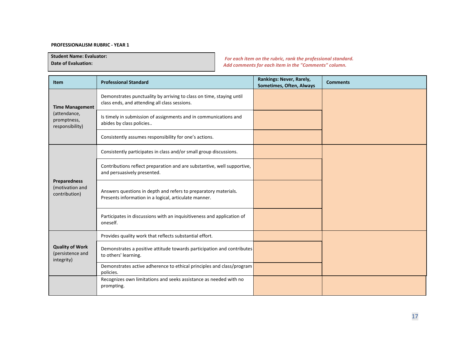#### **PROFESSIONALISM RUBRIC - YEAR 1**

**Student Name: Evaluator:**

**Date of Evaluation:**

*For each item on the rubric, rank the professional standard. Add comments for each item in the "Comments" column.*

| <b>Item</b>                                              | <b>Professional Standard</b>                                                                                             | Rankings: Never, Rarely,<br>Sometimes, Often, Always | <b>Comments</b> |
|----------------------------------------------------------|--------------------------------------------------------------------------------------------------------------------------|------------------------------------------------------|-----------------|
| <b>Time Management</b>                                   | Demonstrates punctuality by arriving to class on time, staying until<br>class ends, and attending all class sessions.    |                                                      |                 |
| (attendance,<br>promptness,<br>responsibility)           | Is timely in submission of assignments and in communications and<br>abides by class policies                             |                                                      |                 |
|                                                          | Consistently assumes responsibility for one's actions.                                                                   |                                                      |                 |
|                                                          | Consistently participates in class and/or small group discussions.                                                       |                                                      |                 |
|                                                          | Contributions reflect preparation and are substantive, well supportive,<br>and persuasively presented.                   |                                                      |                 |
| <b>Preparedness</b><br>(motivation and<br>contribution)  | Answers questions in depth and refers to preparatory materials.<br>Presents information in a logical, articulate manner. |                                                      |                 |
|                                                          | Participates in discussions with an inquisitiveness and application of<br>oneself.                                       |                                                      |                 |
|                                                          | Provides quality work that reflects substantial effort.                                                                  |                                                      |                 |
| <b>Quality of Work</b><br>(persistence and<br>integrity) | Demonstrates a positive attitude towards participation and contributes<br>to others' learning.                           |                                                      |                 |
|                                                          | Demonstrates active adherence to ethical principles and class/program<br>policies.                                       |                                                      |                 |
|                                                          | Recognizes own limitations and seeks assistance as needed with no<br>prompting.                                          |                                                      |                 |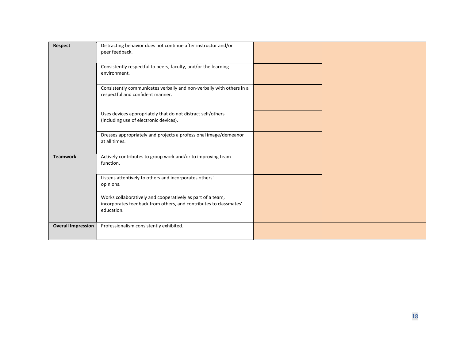| <b>Respect</b>            | Distracting behavior does not continue after instructor and/or<br>peer feedback.                                                              |  |
|---------------------------|-----------------------------------------------------------------------------------------------------------------------------------------------|--|
|                           | Consistently respectful to peers, faculty, and/or the learning<br>environment.                                                                |  |
|                           | Consistently communicates verbally and non-verbally with others in a<br>respectful and confident manner.                                      |  |
|                           | Uses devices appropriately that do not distract self/others<br>(including use of electronic devices).                                         |  |
|                           | Dresses appropriately and projects a professional image/demeanor<br>at all times.                                                             |  |
| <b>Teamwork</b>           | Actively contributes to group work and/or to improving team<br>function.                                                                      |  |
|                           | Listens attentively to others and incorporates others'<br>opinions.                                                                           |  |
|                           | Works collaboratively and cooperatively as part of a team,<br>incorporates feedback from others, and contributes to classmates'<br>education. |  |
| <b>Overall Impression</b> | Professionalism consistently exhibited.                                                                                                       |  |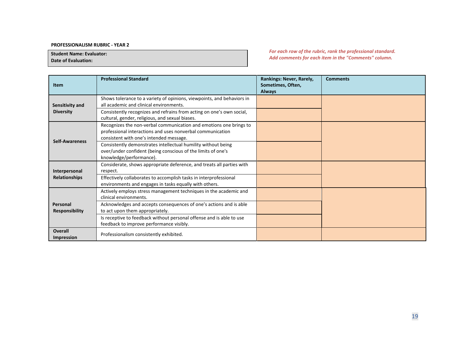#### **PROFESSIONALISM RUBRIC - YEAR 2**

**Student Name: Evaluator:**

**Date of Evaluation:**

*For each row of the rubric, rank the professional standard. Add comments for each item in the "Comments" column.*

| <b>Item</b>                         | <b>Professional Standard</b>                                                                                                                                                | Rankings: Never, Rarely,<br>Sometimes, Often,<br><b>Always</b> | <b>Comments</b> |
|-------------------------------------|-----------------------------------------------------------------------------------------------------------------------------------------------------------------------------|----------------------------------------------------------------|-----------------|
| Sensitivity and                     | Shows tolerance to a variety of opinions, viewpoints, and behaviors in<br>all academic and clinical environments.                                                           |                                                                |                 |
| <b>Diversity</b>                    | Consistently recognizes and refrains from acting on one's own social,<br>cultural, gender, religious, and sexual biases.                                                    |                                                                |                 |
|                                     | Recognizes the non-verbal communication and emotions one brings to<br>professional interactions and uses nonverbal communication<br>consistent with one's intended message. |                                                                |                 |
| <b>Self-Awareness</b>               | Consistently demonstrates intellectual humility without being<br>over/under confident (being conscious of the limits of one's<br>knowledge/performance).                    |                                                                |                 |
| Interpersonal                       | Considerate, shows appropriate deference, and treats all parties with<br>respect.                                                                                           |                                                                |                 |
| <b>Relationships</b>                | Effectively collaborates to accomplish tasks in interprofessional<br>environments and engages in tasks equally with others.                                                 |                                                                |                 |
|                                     | Actively employs stress management techniques in the academic and<br>clinical environments.                                                                                 |                                                                |                 |
| Personal<br>Responsibility          | Acknowledges and accepts consequences of one's actions and is able<br>to act upon them appropriately.                                                                       |                                                                |                 |
|                                     | Is receptive to feedback without personal offense and is able to use<br>feedback to improve performance visibly.                                                            |                                                                |                 |
| <b>Overall</b><br><b>Impression</b> | Professionalism consistently exhibited.                                                                                                                                     |                                                                |                 |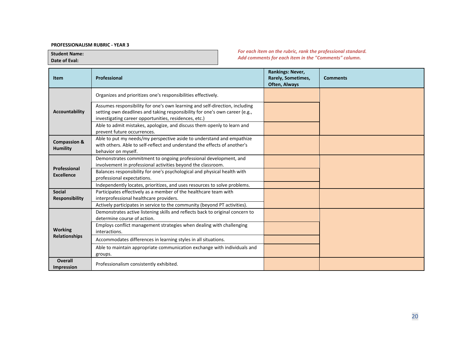#### **PROFESSIONALISM RUBRIC - YEAR 3**

**Student Name: Date of Eval:**

*For each item on the rubric, rank the professional standard. Add comments for each item in the "Comments" column.*

| <b>Item</b>                                | Professional                                                                                                                                                                                                        | <b>Rankings: Never,</b><br>Rarely, Sometimes,<br>Often, Always | <b>Comments</b> |
|--------------------------------------------|---------------------------------------------------------------------------------------------------------------------------------------------------------------------------------------------------------------------|----------------------------------------------------------------|-----------------|
|                                            | Organizes and prioritizes one's responsibilities effectively.                                                                                                                                                       |                                                                |                 |
| <b>Accountability</b>                      | Assumes responsibility for one's own learning and self-direction, including<br>setting own deadlines and taking responsibility for one's own career (e.g.,<br>investigating career opportunities, residences, etc.) |                                                                |                 |
|                                            | Able to admit mistakes, apologize, and discuss them openly to learn and<br>prevent future occurrences.                                                                                                              |                                                                |                 |
| <b>Compassion &amp;</b><br><b>Humility</b> | Able to put my needs/my perspective aside to understand and empathize<br>with others. Able to self-reflect and understand the effects of another's<br>behavior on myself.                                           |                                                                |                 |
|                                            | Demonstrates commitment to ongoing professional development, and<br>involvement in professional activities beyond the classroom.                                                                                    |                                                                |                 |
| Professional<br><b>Excellence</b>          | Balances responsibility for one's psychological and physical health with<br>professional expectations.                                                                                                              |                                                                |                 |
|                                            | Independently locates, prioritizes, and uses resources to solve problems.                                                                                                                                           |                                                                |                 |
| <b>Social</b>                              | Participates effectively as a member of the healthcare team with                                                                                                                                                    |                                                                |                 |
| <b>Responsibility</b>                      | interprofessional healthcare providers.                                                                                                                                                                             |                                                                |                 |
|                                            | Actively participates in service to the community (beyond PT activities).                                                                                                                                           |                                                                |                 |
|                                            | Demonstrates active listening skills and reflects back to original concern to<br>determine course of action.                                                                                                        |                                                                |                 |
| <b>Working</b>                             | Employs conflict management strategies when dealing with challenging<br>interactions.                                                                                                                               |                                                                |                 |
| <b>Relationships</b>                       | Accommodates differences in learning styles in all situations.                                                                                                                                                      |                                                                |                 |
|                                            | Able to maintain appropriate communication exchange with individuals and<br>groups.                                                                                                                                 |                                                                |                 |
| Overall<br><b>Impression</b>               | Professionalism consistently exhibited.                                                                                                                                                                             |                                                                |                 |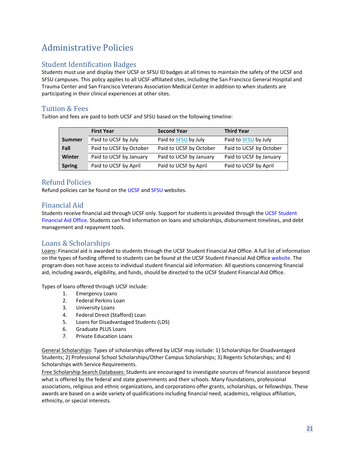# <span id="page-29-0"></span>Administrative Policies

# <span id="page-29-1"></span>Student Identification Badges

Students must use and display their UCSF or SFSU ID badges at all times to maintain the safety of the UCSF and SFSU campuses. This policy applies to all UCSF-affiliated sites, including the San Francisco General Hospital and Trauma Center and San Francisco Veterans Association Medical Center in addition to when students are participating in their clinical experiences at other sites.

# <span id="page-29-2"></span>Tuition & Fees

Tuition and fees are paid to both UCSF and SFSU based on the following timeline:

|               | <b>First Year</b>       | <b>Second Year</b>      | <b>Third Year</b>       |
|---------------|-------------------------|-------------------------|-------------------------|
| <b>Summer</b> | Paid to UCSF by July    | Paid to SFSU by July    | Paid to SFSU by July    |
| Fall          | Paid to UCSF by October | Paid to UCSF by October | Paid to UCSF by October |
| Winter        | Paid to UCSF by January | Paid to UCSF by January | Paid to UCSF by January |
| <b>Spring</b> | Paid to UCSF by April   | Paid to UCSF by April   | Paid to UCSF by April   |

# <span id="page-29-3"></span>Refund Policies

Refund policies can be found on th[e UCSF](https://registrar.ucsf.edu/registration/refunds) and [SFSU](https://bursar.sfsu.edu/Student-Services/refund-guidelines-8) websites.

# <span id="page-29-4"></span>Financial Aid

Students receive financial aid through UCSF only. Support for students is provided through th[e UCSF Student](https://finaid.ucsf.edu/) [Financial Aid Office.](https://finaid.ucsf.edu/) Students can find information on loans and scholarships, disbursement timelines, and debt management and repayment tools.

# <span id="page-29-5"></span>Loans & Scholarships

Loans: Financial aid is awarded to students through the UCSF Student Financial Aid Office. A full list of information on the types of funding offered to students can be found at the UCSF Student Financial Aid Office [website.](https://finaid.ucsf.edu/types-of-aid/loans) The program does not have access to individual student financial aid information. All questions concerning financial aid, including awards, eligibility, and funds, should be directed to the UCSF Student Financial Aid Office.

Types of loans offered through UCSF include:

- 1. Emergency Loans
- 2. Federal Perkins Loan
- 3. University Loans
- 4. Federal Direct (Stafford) Loan
- 5. Loans for Disadvantaged Students (LDS)
- 6. Graduate PLUS Loans
- 7. Private Education Loans

General Scholarships: Types of scholarships offered by UCSF may include: 1) Scholarships for Disadvantaged Students; 2) Professional School Scholarships/Other Campus Scholarships; 3) Regents Scholarships; and 4) Scholarships with Service Requirements.

Free Scholarship Search Databases: Students are encouraged to investigate sources of financial assistance beyond what is offered by the federal and state governments and their schools. Many foundations, professional associations, religious and ethnic organizations, and corporations offer grants, scholarships, or fellowships. These awards are based on a wide variety of qualifications including financial need, academics, religious affiliation, ethnicity, or special interests.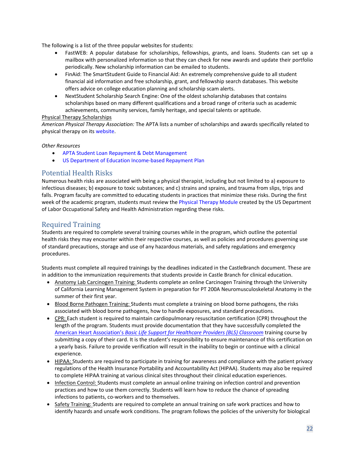The following is a list of the three popular websites for students:

- FastWEB: A popular database for scholarships, fellowships, grants, and loans. Students can set up a mailbox with personalized information so that they can check for new awards and update their portfolio periodically. New scholarship information can be emailed to students.
- FinAid: The SmartStudent Guide to Financial Aid: An extremely comprehensive guide to all student financial aid information and free scholarship, grant, and fellowship search databases. This website offers advice on college education planning and scholarship scam alerts.
- NextStudent Scholarship Search Engine: One of the oldest scholarship databases that contains scholarships based on many different qualifications and a broad range of criteria such as academic achievements, community services, family heritage, and special talents or aptitude.

#### Physical Therapy Scholarships

*American Physical Therapy Association:* The APTA lists a number of scholarships and awards specifically related to physical therapy on it[s website.](https://www.apta.org/search?q=apta+current+students+scholarship+&_t_dtq=true)

#### *Other Resources*

- [APTA Student Loan Repayment & Debt Management](http://www.apta.org/DebtManagement/FederalOpportunities/)
- [US Department of Education Income-based Repayment Plan](https://studentaid.ed.gov/sa/repay-loans/understand/plans/income-driven/questions)

# <span id="page-30-0"></span>Potential Health Risks

Numerous health risks are associated with being a physical therapist, including but not limited to a) exposure to infectious diseases; b) exposure to toxic substances; and c) strains and sprains, and trauma from slips, trips and falls. Program faculty are committed to educating students in practices that minimize these risks. During the first week of the academic program, students must review th[e Physical Therapy Module](https://www.osha.gov/SLTC/etools/hospital/clinical/pt/pt.html) created by the US Department of Labor Occupational Safety and Health Administration regarding these risks.

# <span id="page-30-1"></span>Required Training

Students are required to complete several training courses while in the program, which outline the potential health risks they may encounter within their respective courses, as well as policies and procedures governing use of standard precautions, storage and use of any hazardous materials, and safety regulations and emergency procedures.

Students must complete all required trainings by the deadlines indicated in the CastleBranch document. These are in addition to the immunization requirements that students provide in Castle Branch for clinical education.

- Anatomy Lab Carcinogen Training: Students complete an online Carcinogen Training through the University of California Learning Management System in preparation for PT 200A Neuromusculoskeletal Anatomy in the summer of their first year.
- Blood Borne Pathogen Training: Students must complete a training on blood borne pathogens, the risks associated with blood borne pathogens, how to handle exposures, and standard precautions.
- CPR: Each student is required to maintain cardiopulmonary resuscitation certification (CPR) throughout the length of the program. Students must provide documentation that they have successfully completed the [American Heart Association's](https://cpr.heart.org/en/courses/basic-life-support-course-options) *[Basic Life Support for Healthcare Providers \(BLS\) Classroom](https://cpr.heart.org/en/courses/basic-life-support-course-options)* training course by submitting a copy of their card. It is the student's responsibility to ensure maintenance of this certification on a yearly basis. Failure to provide verification will result in the inability to begin or continue with a clinical experience.
- HIPAA: Students are required to participate in training for awareness and compliance with the patient privacy regulations of the Health Insurance Portability and Accountability Act (HIPAA). Students may also be required to complete HIPAA training at various clinical sites throughout their clinical education experiences.
- Infection Control: Students must complete an annual online training on infection control and prevention practices and how to use them correctly. Students will learn how to reduce the chance of spreading infections to patients, co-workers and to themselves.
- Safety Training: Students are required to complete an annual training on safe work practices and how to identify hazards and unsafe work conditions. The program follows the policies of the university for biological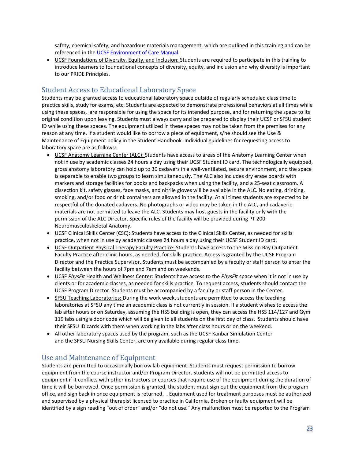safety, chemical safety, and hazardous materials management, which are outlined in this training and can be referenced in the [UCSF Environment of Care Manual.](https://safety.ucsf.edu/eoc-manual)

• UCSF Foundations of Diversity, Equity, and Inclusion: Students are required to participate in this training to introduce learners to foundational concepts of diversity, equity, and inclusion and why diversity is important to our PRIDE Principles.

# <span id="page-31-0"></span>Student Access to Educational Laboratory Space

Students may be granted access to educational laboratory space outside of regularly scheduled class time to practice skills, study for exams, etc. Students are expected to demonstrate professional behaviors at all times while using these spaces, are responsible for using the space for its intended purpose, and for returning the space to its original condition upon leaving. Students must always carry and be prepared to display their UCSF or SFSU student ID while using these spaces. The equipment utilized in these spaces may not be taken from the premises for any reason at any time. If a student would like to borrow a piece of equipment, s/he should see the Use & Maintenance of Equipment policy in the Student Handbook. Individual guidelines for requesting access to laboratory space are as follows:

- UCSF Anatomy Learning Center (ALC): Students have access to areas of the Anatomy Learning Center when not in use by academic classes 24 hours a day using their UCSF Student ID card. The technologically equipped, gross anatomy laboratory can hold up to 30 cadavers in a well-ventilated, secure environment, and the space is separable to enable two groups to learn simultaneously. The ALC also includes dry erase boards with markers and storage facilities for books and backpacks when using the facility, and a 25-seat classroom. A dissection kit, safety glasses, face masks, and nitrile gloves will be available in the ALC. No eating, drinking, smoking, and/or food or drink containers are allowed in the facility. At all times students are expected to be respectful of the donated cadavers. No photographs or video may be taken in the ALC, and cadaveric materials are not permitted to leave the ALC. Students may host guests in the facility only with the permission of the ALC Director. Specific rules of the facility will be provided during PT 200 Neuromusculoskeletal Anatomy.
- UCSF Clinical Skills Center (CSC): Students have access to the Clinical Skills Center, as needed for skills practice, when not in use by academic classes 24 hours a day using their UCSF Student ID card.
- UCSF Outpatient Physical Therapy Faculty Practice: Students have access to the Mission Bay Outpatient Faculty Practice after clinic hours, as needed, for skills practice. Access is granted by the UCSF Program Director and the Practice Supervisor. Students must be accompanied by a faculty or staff person to enter the facility between the hours of 7pm and 7am and on weekends.
- UCSF *PhysFit* Health and Wellness Center: Students have access to the *PhysFit* space when it is not in use by clients or for academic classes, as needed for skills practice. To request access, students should contact the UCSF Program Director. Students must be accompanied by a faculty or staff person in the Center.
- SFSU Teaching Laboratories: During the work week, students are permitted to access the teaching laboratories at SFSU any time an academic class is not currently in session. If a student wishes to access the lab after hours or on Saturday, assuming the HSS building is open, they can access the HSS 114/127 and Gym 119 labs using a door code which will be given to all students on the first day of class. Students should have their SFSU ID cards with them when working in the labs after class hours or on the weekend.
- All other laboratory spaces used by the program, such as the UCSF Kanbar Simulation Center and the SFSU Nursing Skills Center, are only available during regular class time.

# <span id="page-31-1"></span>Use and Maintenance of Equipment

Students are permitted to occasionally borrow lab equipment. Students must request permission to borrow equipment from the course instructor and/or Program Director. Students will not be permitted access to equipment if it conflicts with other instructors or courses that require use of the equipment during the duration of time it will be borrowed. Once permission is granted, the student must sign out the equipment from the program office, and sign back in once equipment is returned. . Equipment used for treatment purposes must be authorized and supervised by a physical therapist licensed to practice in California. Broken or faulty equipment will be identified by a sign reading "out of order" and/or "do not use." Any malfunction must be reported to the Program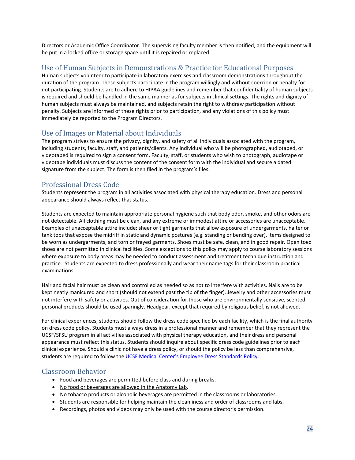Directors or Academic Office Coordinator. The supervising faculty member is then notified, and the equipment will be put in a locked office or storage space until it is repaired or replaced.

# <span id="page-32-0"></span>Use of Human Subjects in Demonstrations & Practice for Educational Purposes

Human subjects volunteer to participate in laboratory exercises and classroom demonstrations throughout the duration of the program. These subjects participate in the program willingly and without coercion or penalty for not participating. Students are to adhere to HIPAA guidelines and remember that confidentiality of human subjects is required and should be handled in the same manner as for subjects in clinical settings. The rights and dignity of human subjects must always be maintained, and subjects retain the right to withdraw participation without penalty. Subjects are informed of these rights prior to participation, and any violations of this policy must immediately be reported to the Program Directors.

# <span id="page-32-1"></span>Use of Images or Material about Individuals

The program strives to ensure the privacy, dignity, and safety of all individuals associated with the program, including students, faculty, staff, and patients/clients. Any individual who will be photographed, audiotaped, or videotaped is required to sign a consent form. Faculty, staff, or students who wish to photograph, audiotape or videotape individuals must discuss the content of the consent form with the individual and secure a dated signature from the subject. The form is then filed in the program's files.

# <span id="page-32-2"></span>Professional Dress Code

Students represent the program in all activities associated with physical therapy education. Dress and personal appearance should always reflect that status.

Students are expected to maintain appropriate personal hygiene such that body odor, smoke, and other odors are not detectable. All clothing must be clean, and any extreme or immodest attire or accessories are unacceptable. Examples of unacceptable attire include: sheer or tight garments that allow exposure of undergarments, halter or tank tops that expose the midriff in static and dynamic postures (e.g. standing or bending over), items designed to be worn as undergarments, and torn or frayed garments. Shoes must be safe, clean, and in good repair. Open toed shoes are not permitted in clinical facilities. Some exceptions to this policy may apply to course laboratory sessions where exposure to body areas may be needed to conduct assessment and treatment technique instruction and practice. Students are expected to dress professionally and wear their name tags for their classroom practical examinations.

Hair and facial hair must be clean and controlled as needed so as not to interfere with activities. Nails are to be kept neatly manicured and short (should not extend past the tip of the finger). Jewelry and other accessories must not interfere with safety or activities. Out of consideration for those who are environmentally sensitive, scented personal products should be used sparingly. Headgear, except that required by religious belief, is not allowed.

For clinical experiences, students should follow the dress code specified by each facility, which is the final authority on dress code policy. Students must always dress in a professional manner and remember that they represent the UCSF/SFSU program in all activities associated with physical therapy education, and their dress and personal appearance must reflect this status. Students should inquire about specific dress code guidelines prior to each clinical experience. Should a clinic not have a dress policy, or should the policy be less than comprehensive, students are required to follow th[e UCSF Medical Center's Employee Dress Standards Policy.](http://manuals.ucsfmedicalcenter.org/AdminManual/IndividualPolicies/EmployeeDressStandards.PDF) 

- <span id="page-32-3"></span>Classroom Behavior<br>• Food and beverages are permitted before class and during breaks.
	- No food or beverages are allowed in the Anatomy Lab.
	- No tobacco products or alcoholic beverages are permitted in the classrooms or laboratories.
	- Students are responsible for helping maintain the cleanliness and order of classrooms and labs.
	- Recordings, photos and videos may only be used with the course director's permission.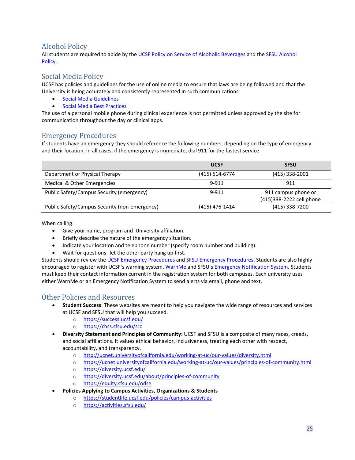# <span id="page-33-0"></span>Alcohol Policy

All students are required to abide by th[e UCSF Policy on Service of Alcoholic Beverages](https://studentlife.ucsf.edu/policies/alcohol) and the [SFSU Alcohol](https://conduct.sfsu.edu/alcohol-policy) [Policy.](https://conduct.sfsu.edu/alcohol-policy)

# <span id="page-33-1"></span>Social Media Policy

UCSF has policies and guidelines for the use of online media to ensure that laws are being followed and that the University is being accurately and consistently represented in such communications:

- [Social Media Guidelines](https://www.ucsf.edu/about/social-media-overview/social-media-guidelines)
- [Social Media Best Practices](https://www.ucsf.edu/about/social-media-overview/social-media-best-practices)

The use of a personal mobile phone during clinical experience is not permitted unless approved by the site for communication throughout the day or clinical apps.

# <span id="page-33-2"></span>Emergency Procedures

If students have an emergency they should reference the following numbers, depending on the type of emergency and their location. In all cases, if the emergency is immediate, dial 911 for the fastest service.

|                                               | <b>UCSF</b>    | <b>SFSU</b>                                     |
|-----------------------------------------------|----------------|-------------------------------------------------|
| Department of Physical Therapy                | (415) 514-6774 | $(415)$ 338-2001                                |
| Medical & Other Emergencies                   | 9-911          | 911                                             |
| Public Safety/Campus Security (emergency)     | 9-911          | 911 campus phone or<br>(415)338-2222 cell phone |
| Public Safety/Campus Security (non-emergency) | (415) 476-1414 | (415) 338-7200                                  |

When calling:

- Give your name, program and University affiliation.
- Briefly describe the nature of the emergency situation.
- Indicate your location and telephone number (specify room number and building).
- Wait for questions--let the other party hang up first.

Students should review th[e UCSF Emergency Procedures](https://safety.ucsf.edu/emergency-procedures) an[d SFSU Emergency Procedures.](https://upd.sfsu.edu/content/eprep) Students are also highly encouraged to register with UCSF's warning system[, WarnMe](https://registrar.ucsf.edu/new-students/warnme) and SFSU's [Emergency Notification System.](https://upd.sfsu.edu/ENSFAQ) Students must keep their contact information current in the registration system for both campuses. Each university uses either WarnMe or an Emergency Notification System to send alerts via email, phone and text.

- <span id="page-33-3"></span>Other Policies and Resources • **Student Success**: These websites are meant to help you navigate the wide range of resources and services at UCSF and SFSU that will help you succeed.
	- o <https://success.ucsf.edu/>
	- o <https://chss.sfsu.edu/src>
	- **Diversity Statement and Principles of Community:** UCSF and SFSU is a composite of many races, creeds, and social affiliations. It values ethical behavior, inclusiveness, treating each other with respect, accountability, and transparency.
		- o <http://ucnet.universityofcalifornia.edu/working-at-uc/our-values/diversity.html>
		- o <https://ucnet.universityofcalifornia.edu/working-at-uc/our-values/principles-of-community.html>
		- o <https://diversity.ucsf.edu/>
		- o <https://diversity.ucsf.edu/about/principles-of-community>
		- o <https://equity.sfsu.edu/odse>
	- **Policies Applying to Campus Activities, Organizations & Students**
		- o [https://studentlife.ucsf.edu/policies/campus-activities](https://studentlife.ucsf.edu/PACAOS)
		- o <https://activities.sfsu.edu/>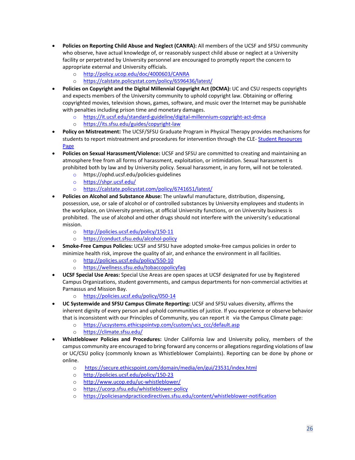- **Policies on Reporting Child Abuse and Neglect (CANRA):** All members of the UCSF and SFSU community who observe, have actual knowledge of, or reasonably suspect child abuse or neglect at a University facility or perpetrated by University personnel are encouraged to promptly report the concern to appropriate external and University officials.
	- o <http://policy.ucop.edu/doc/4000603/CANRA>
	- o <https://calstate.policystat.com/policy/6596436/latest/>
- **Policies on Copyright and the Digital Millennial Copyright Act (DCMA):** UC and CSU respects copyrights and expects members of the University community to uphold copyright law. Obtaining or offering copyrighted movies, television shows, games, software, and music over the Internet may be punishable with penalties including prison time and monetary damages.
	- o <https://it.ucsf.edu/standard-guideline/digital-millennium-copyright-act-dmca>
	- o <https://its.sfsu.edu/guides/copyright-law>
- **Policy on Mistreatment:** The UCSF/SFSU Graduate Program in Physical Therapy provides mechanisms for students to report mistreatment and procedures for intervention through the CLE- [Student Resources](https://courses.ucsf.edu/course/view.php?id=524)  [Page](https://courses.ucsf.edu/course/view.php?id=524)
- **Policies on Sexual Harassment/Violence:** UCSF and SFSU are committed to creating and maintaining an atmosphere free from all forms of harassment, exploitation, or intimidation. Sexual harassment is prohibited both by law and by University policy. Sexual harassment, in any form, will not be tolerated.
	- o <https://ophd.ucsf.edu/policies-guidelines>
	- o <https://shpr.ucsf.edu/>
	- o <https://calstate.policystat.com/policy/6741651/latest/>
- **Policies on Alcohol and Substance Abuse:** The unlawful manufacture, distribution, dispensing, possession, use, or sale of alcohol or of controlled substances by University employees and students in the workplace, on University premises, at official University functions, or on University business is prohibited. The use of alcohol and other drugs should not interfere with the university's educational mission.
	- o <http://policies.ucsf.edu/policy/150-11>
	- o <https://conduct.sfsu.edu/alcohol-policy>
- **Smoke-Free Campus Policies:** UCSF and SFSU have adopted smoke-free campus policies in order to minimize health risk, improve the quality of air, and enhance the environment in all facilities.
	- o <http://policies.ucsf.edu/policy/550-10>
	- o <https://wellness.sfsu.edu/tobaccopolicyfaq>
- **UCSF Special Use Areas:** Special Use Areas are open spaces at UCSF designated for use by Registered Campus Organizations, student governments, and campus departments for non-commercial activities at Parnassus and Mission Bay.
	- o <https://policies.ucsf.edu/policy/050-14>
- **UC Systemwide and SFSU Campus Climate Reporting:** UCSF and SFSU values diversity, affirms the inherent dignity of every person and uphold communities of justice. If you experience or observe behavior that is inconsistent with our Principles of Community, you can report it via the Campus Climate page:
	- o [https://ucsystems.ethicspointvp.com/custom/ucs\\_ccc/default.asp](https://ucsystems.ethicspointvp.com/custom/ucs_ccc/default.asp)<br>o https://climate.sfsu.edu/
	- <https://climate.sfsu.edu/>
- **Whistleblower Policies and Procedures:** Under California law and University policy, members of the campus community are encouraged to bring forward any concerns or allegations regarding violations of law or UC/CSU policy (commonly known as Whistleblower Complaints). Reporting can be done by phone or online.
	- o <https://secure.ethicspoint.com/domain/media/en/gui/23531/index.html>
	- o <http://policies.ucsf.edu/policy/150-23>
	- o <http://www.ucop.edu/uc-whistleblower/>
	- o <https://ucorp.sfsu.edu/whistleblower-policy>
	- o <https://policiesandpracticedirectives.sfsu.edu/content/whistleblower-notification>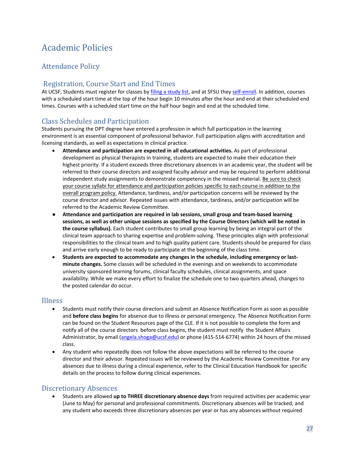# <span id="page-35-0"></span>Academic Policies

# <span id="page-35-1"></span>Attendance Policy

# <span id="page-35-2"></span>Registration, Course Start and End Times

At UCSF, Students must register for classes by [filing a study list,](https://registrar.ucsf.edu/registration/study-list-filing) and at SFSU they [self-enroll.](https://registrar.sfsu.edu/cms/registering-classes) In addition, courses with a scheduled start time at the top of the hour begin 10 minutes after the hour and end at their scheduled end times. Courses with a scheduled start time on the half hour begin and end at the scheduled time.

# <span id="page-35-3"></span>Class Schedules and Participation

Students pursuing the DPT degree have entered a profession in which full participation in the learning environment is an essential component of professional behavior. Full participation aligns with accreditation and licensing standards, as well as expectations in clinical practice.

- **Attendance and participation are expected in all educational activities.** As part of professional development as physical therapists in training, students are expected to make their education their highest priority. If a student exceeds three discretionary absences in an academic year, the student will be referred to their course directors and assigned faculty advisor and may be required to perform additional independent study assignments to demonstrate competency in the missed material. Be sure to check your course syllabi for attendance and participation policies specific to each course in addition to the overall program policy. Attendance, tardiness, and/or participation concerns will be reviewed by the course director and advisor. Repeated issues with attendance, tardiness, and/or participation will be referred to the Academic Review Committee.
- **Attendance and participation are required in lab sessions, small group and team-based learning sessions, as well as other unique sessions as specified by the Course Directors (which will be noted in the course syllabus).** Each student contributes to small group learning by being an integral part of the clinical team approach to sharing expertise and problem-solving. These principles align with professional responsibilities to the clinical team and to high quality patient care. Students should be prepared for class and arrive early enough to be ready to participate at the beginning of the class time.
- **Students are expected to accommodate any changes in the schedule, including emergency or lastminute changes.** Some classes will be scheduled in the evenings and on weekends to accommodate university sponsored learning forums, clinical faculty schedules, clinical assignments, and space availability. While we make every effort to finalize the schedule one to two quarters ahead, changes to the posted calendar do occur.

- <span id="page-35-4"></span>Illness • Students must notify their course directors and submit an Absence Notification Form as soon as possible and **before class begins** for absence due to illness or personal emergency. The Absence Notification Form can be found on the Student Resources page of the CLE. If it is not possible to complete the form and notify all of the course directors before class begins, the student must notify the Student Affairs Administrator, by email [\(angela.shoga@ucsf.edu\)](mailto:angela.shoga@ucsf.edu) or phone (415-514-6774) within 24 hours of the missed class.
	- Any student who repeatedly does not follow the above expectations will be referred to the course director and their advisor. Repeated issues will be reviewed by the Academic Review Committee. For any absences due to illness during a clinical experience, refer to the Clinical Education Handbook for specific details on the process to follow during clinical experiences.

<span id="page-35-5"></span>Discretionary Absences • Students are allowed **up to THREE discretionary absence days** from required activities per academic year (June to May) for personal and professional commitments. Discretionary absences will be tracked, and any student who exceeds three discretionary absences per year or has any absences without required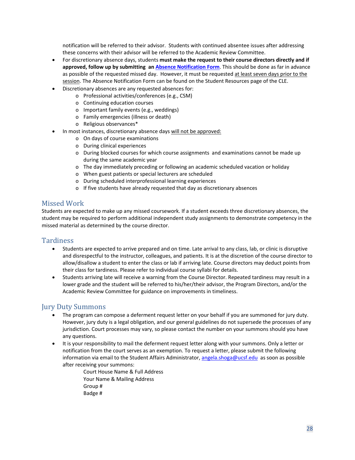notification will be referred to their advisor. Students with continued absentee issues after addressing these concerns with their advisor will be referred to the Academic Review Committee.

- For discretionary absence days, students **must make the request to their course directors directly and if approved, follow up by submitting an [Absence Notification Form](https://ucsf.co1.qualtrics.com/jfe/form/SV_bPGnjzKyUO7vif4)**. This should be done as far in advance as possible of the requested missed day. However, it must be requested at least seven days prior to the session. The Absence Notification Form can be found on the Student Resources page of the CLE.
- Discretionary absences are any requested absences for:
	- o Professional activities/conferences (e.g., CSM)
		- o Continuing education courses
	- o Important family events (e.g., weddings)
	- o Family emergencies (illness or death)
	- o Religious observances\*
	- In most instances, discretionary absence days will not be approved:
		- o On days of course examinations
		- o During clinical experiences
		- o During blocked courses for which course assignments and examinations cannot be made up during the same academic year
		- o The day immediately preceding or following an academic scheduled vacation or holiday
		- o When guest patients or special lecturers are scheduled
		- o During scheduled interprofessional learning experiences
		- o If five students have already requested that day as discretionary absences

### <span id="page-36-0"></span>Missed Work

Students are expected to make up any missed coursework. If a student exceeds three discretionary absences, the student may be required to perform additional independent study assignments to demonstrate competency in the missed material as determined by the course director.

- <span id="page-36-1"></span>Tardiness<br>• Students are expected to arrive prepared and on time. Late arrival to any class, lab, or clinic is disruptive and disrespectful to the instructor, colleagues, and patients. It is at the discretion of the course director to allow/disallow a student to enter the class or lab if arriving late. Course directors may deduct points from their class for tardiness. Please refer to individual course syllabi for details.
	- Students arriving late will receive a warning from the Course Director. Repeated tardiness may result in a lower grade and the student will be referred to his/her/their advisor, the Program Directors, and/or the Academic Review Committee for guidance on improvements in timeliness.

- <span id="page-36-2"></span>Jury Duty Summons • The program can compose a deferment request letter on your behalf if you are summoned for jury duty. However, jury duty is a legal obligation, and our general guidelines do not supersede the processes of any jurisdiction. Court processes may vary, so please contact the number on your summons should you have any questions.
	- It is your responsibility to mail the deferment request letter along with your summons. Only a letter or notification from the court serves as an exemption. To request a letter, please submit the following information via email to the Student Affairs Administrator, [angela.shoga@ucsf.edu](mailto:angela.shoga@ucsf.edu) as soon as possible after receiving your summons:
		- Court House Name & Full Address Your Name & Mailing Address Group # Badge #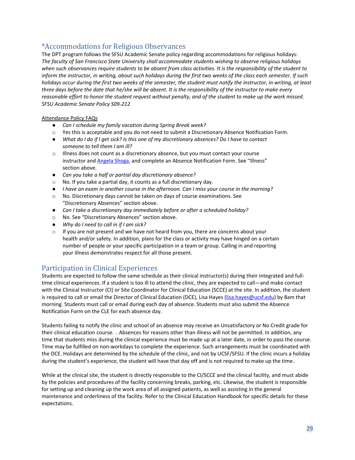# <span id="page-37-0"></span>\*Accommodations for Religious Observances

The DPT program follows the SFSU Academic Senate policy regarding accommodations for religious holidays: *The faculty of San Francisco State University shall accommodate students wishing to observe religious holidays when such observances require students to be absent from class activities. It is the responsibility of the student to inform the instructor, in writing, about such holidays during the first two weeks of the class each semester. If such holidays occur during the first two weeks of the semester, the student must notify the instructor, in writing, at least three days before the date that he/she will be absent. It is the responsibility of the instructor to make every reasonable effort to honor the student request without penalty, and of the student to make up the work missed. SFSU Academic Senate Policy S09-212*

#### Attendance Policy FAQs

- *Can I schedule my family vacation during Spring Break week?*
- o Yes this is acceptable and you do not need to submit a Discretionary Absence Notification Form.
- *What do I do if I get sick? Is this one of my discretionary absences? Do I have to contact someone to tell them I am ill?*
- o Illness does not count as a discretionary absence, but you must contact your course instructor an[d Angela Shoga,](mailto:angela.shoga@ucsf.edu) and complete an Absence Notification Form. See "Illness" section above.
- *Can you take a half or partial day discretionary absence?*
- o No. If you take a partial day, it counts as a full discretionary day.
- *I have an exam in another course in the afternoon. Can I miss your course in the morning?*
- o No. Discretionary days cannot be taken on days of course examinations. See "Discretionary Absences" section above.
- *Can I take a discretionary day immediately before or after a scheduled holiday?*
- o No. See "Discretionary Absences" section above.
- *Why do I need to call in if I am sick?*
- $\circ$  If you are not present and we have not heard from you, there are concerns about your health and/or safety. In addition, plans for the class or activity may have hinged on a certain number of people or your specific participation in a team or group. Calling in and reporting your illness demonstrates respect for all those present.

# <span id="page-37-1"></span>Participation in Clinical Experiences

Students are expected to follow the same schedule as their clinical instructor(s) during their integrated and fulltime clinical experiences. If a student is too ill to attend the clinic, they are expected to call—and make contact with the Clinical Instructor (CI) or Site Coordinator for Clinical Education (SCCE) at the site. In addition, the student is required to call or email the Director of Clinical Education (DCE), Lisa Hayes [\(lisa.hayes@ucsf.edu\)](mailto:lisa.hayes@ucsf.edu) by 8am that morning. Students must call or email during each day of absence. Students must also submit the Absence Notification Form on the CLE for each absence day.

Students failing to notify the clinic and school of an absence may receive an Unsatisfactory or No Credit grade for their clinical education course. . Absences for reasons other than illness will not be permitted. In addition, any time that students miss during the clinical experience must be made up at a later date, in order to pass the course. Time may be fulfilled on non-workdays to complete the experience. Such arrangements must be coordinated with the DCE. Holidays are determined by the schedule of the clinic, and not by UCSF/SFSU. If the clinic incurs a holiday during the student's experience, the student will have that day off and is not required to make up the time.

While at the clinical site, the student is directly responsible to the CI/SCCE and the clinical facility, and must abide by the policies and procedures of the facility concerning breaks, parking, etc. Likewise, the student is responsible for setting up and cleaning up the work area of all assigned patients, as well as assisting in the general maintenance and orderliness of the facility. Refer to the Clinical Education Handbook for specific details for these expectations.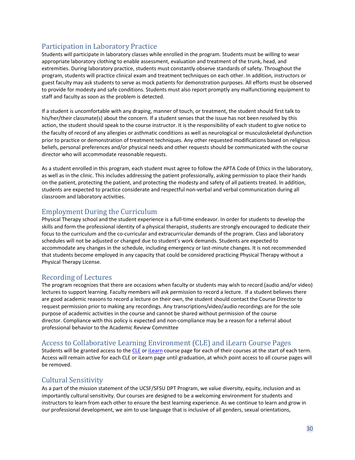# <span id="page-38-0"></span>Participation in Laboratory Practice

Students will participate in laboratory classes while enrolled in the program. Students must be willing to wear appropriate laboratory clothing to enable assessment, evaluation and treatment of the trunk, head, and extremities. During laboratory practice, students must constantly observe standards of safety. Throughout the program, students will practice clinical exam and treatment techniques on each other. In addition, instructors or guest faculty may ask students to serve as mock patients for demonstration purposes. All efforts must be observed to provide for modesty and safe conditions. Students must also report promptly any malfunctioning equipment to staff and faculty as soon as the problem is detected.

If a student is uncomfortable with any draping, manner of touch, or treatment, the student should first talk to his/her/their classmate(s) about the concern. If a student senses that the issue has not been resolved by this action, the student should speak to the course instructor. It is the responsibility of each student to give notice to the faculty of record of any allergies or asthmatic conditions as well as neurological or musculoskeletal dysfunction prior to practice or demonstration of treatment techniques. Any other requested modifications based on religious beliefs, personal preferences and/or physical needs and other requests should be communicated with the course director who will accommodate reasonable requests.

As a student enrolled in this program, each student must agree to follow the APTA Code of Ethics in the laboratory, as well as in the clinic. This includes addressing the patient professionally, asking permission to place their hands on the patient, protecting the patient, and protecting the modesty and safety of all patients treated. In addition, students are expected to practice considerate and respectful non-verbal and verbal communication during all classroom and laboratory activities.

# <span id="page-38-1"></span>Employment During the Curriculum

Physical Therapy school and the student experience is a full-time endeavor. In order for students to develop the skills and form the professional identity of a physical therapist, students are strongly encouraged to dedicate their focus to the curriculum and the co-curricular and extracurricular demands of the program. Class and laboratory schedules will not be adjusted or changed due to student's work demands. Students are expected to accommodate any changes in the schedule, including emergency or last-minute changes. It is not recommended that students become employed in any capacity that could be considered practicing Physical Therapy without a Physical Therapy License.

# <span id="page-38-2"></span>Recording of Lectures

The program recognizes that there are occasions when faculty or students may wish to record (audio and/or video) lectures to support learning. Faculty members will ask permission to record a lecture. If a student believes there are good academic reasons to record a lecture on their own, the student should contact the Course Director to request permission prior to making any recordings. Any transcriptions/video/audio recordings are for the sole purpose of academic activities in the course and cannot be shared without permission of the course director. Compliance with this policy is expected and non-compliance may be a reason for a referral about professional behavior to the Academic Review Committee

# <span id="page-38-3"></span>Access to Collaborative Learning Environment (CLE) and iLearn Course Pages

Students will be granted access to the [CLE](https://courses.ucsf.edu/) or [iLearn](https://ilearn.sfsu.edu/local/hub/index.php?wantsurl=https%3A%2F%2Filearn.sfsu.edu%2F) course page for each of their courses at the start of each term. Access will remain active for each CLE or iLearn page until graduation, at which point access to all course pages will be removed.

# <span id="page-38-4"></span>Cultural Sensitivity

As a part of the mission statement of the UCSF/SFSU DPT Program, we value diversity, equity, inclusion and as importantly cultural sensitivity. Our courses are designed to be a welcoming environment for students and instructors to learn from each other to ensure the best learning experience. As we continue to learn and grow in our professional development, we aim to use language that is inclusive of all genders, sexual orientations,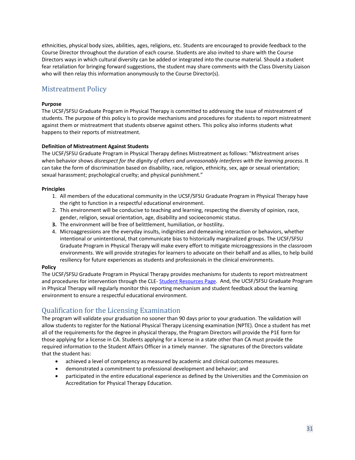ethnicities, physical body sizes, abilities, ages, religions, etc. Students are encouraged to provide feedback to the Course Director throughout the duration of each course. Students are also invited to share with the Course Directors ways in which cultural diversity can be added or integrated into the course material. Should a student fear retaliation for bringing forward suggestions, the student may share comments with the Class Diversity Liaison who will then relay this information anonymously to the Course Director(s).

# <span id="page-39-0"></span>Mistreatment Policy

#### **Purpose**

The UCSF/SFSU Graduate Program in Physical Therapy is committed to addressing the issue of mistreatment of students. The purpose of this policy is to provide mechanisms and procedures for students to report mistreatment against them or mistreatment that students observe against others. This policy also informs students what happens to their reports of mistreatment.

#### **Definition of Mistreatment Against Students**

The UCSF/SFSU Graduate Program in Physical Therapy defines Mistreatment as follows: "Mistreatment arises when behavior shows *disrespect for the dignity of others and unreasonably interferes with the learning process*. It can take the form of discrimination based on disability, race, religion, ethnicity, sex, age or sexual orientation; sexual harassment; psychological cruelty; and physical punishment."

#### **Principles**

- 1. All members of the educational community in the UCSF/SFSU Graduate Program in Physical Therapy have the right to function in a respectful educational environment.
- 2. This environment will be conducive to teaching and learning, respecting the diversity of opinion, race, gender, religion, sexual orientation, age, disability and socioeconomic status.
- **3.** The environment will be free of belittlement, humiliation, or hostility**.**
- 4. Microaggressions are the everyday insults, indignities and demeaning interaction or behaviors, whether intentional or unintentional, that communicate bias to historically marginalized groups. The UCSF/SFSU Graduate Program in Physical Therapy will make every effort to mitigate microaggressions in the classroom environments. We will provide strategies for learners to advocate on their behalf and as allies, to help build resiliency for future experiences as students and professionals in the clinical environments.

#### **Policy**

The UCSF/SFSU Graduate Program in Physical Therapy provides mechanisms for students to report mistreatment and procedures for intervention through the CLE- [Student Resources Page.](https://courses.ucsf.edu/course/view.php?id=524) And, the UCSF/SFSU Graduate Program in Physical Therapy will regularly monitor this reporting mechanism and student feedback about the learning environment to ensure a respectful educational environment.

# <span id="page-39-1"></span>Qualification for the Licensing Examination

The program will validate your graduation no sooner than 90 days prior to your graduation. The validation will allow students to register for the National Physical Therapy Licensing examination (NPTE). Once a student has met all of the requirements for the degree in physical therapy, the Program Directors will provide the P1E form for those applying for a license in CA. Students applying for a license in a state other than CA must provide the required information to the Student Affairs Officer in a timely manner. The signatures of the Directors validate that the student has:

- achieved a level of competency as measured by academic and clinical outcomes measures.
- demonstrated a commitment to professional development and behavior; and
- participated in the entire educational experience as defined by the Universities and the Commission on Accreditation for Physical Therapy Education.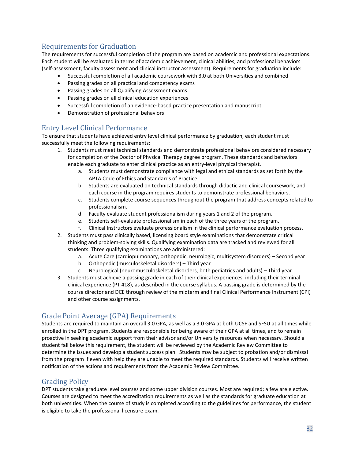# <span id="page-40-0"></span>Requirements for Graduation

The requirements for successful completion of the program are based on academic and professional expectations. Each student will be evaluated in terms of academic achievement, clinical abilities, and professional behaviors (self-assessment, faculty assessment and clinical instructor assessment). Requirements for graduation include:

- Successful completion of all academic coursework with 3.0 at both Universities and combined
- Passing grades on all practical and competency exams
- Passing grades on all Qualifying Assessment exams
- Passing grades on all clinical education experiences
- Successful completion of an evidence-based practice presentation and manuscript
- Demonstration of professional behaviors

# <span id="page-40-1"></span>Entry Level Clinical Performance

To ensure that students have achieved entry level clinical performance by graduation, each student must successfully meet the following requirements:

- 1. Students must meet technical standards and demonstrate professional behaviors considered necessary for completion of the Doctor of Physical Therapy degree program. These standards and behaviors enable each graduate to enter clinical practice as an entry-level physical therapist.
	- a. Students must demonstrate compliance with legal and ethical standards as set forth by the APTA Code of Ethics and Standards of Practice.
	- b. Students are evaluated on technical standards through didactic and clinical coursework, and each course in the program requires students to demonstrate professional behaviors.
	- c. Students complete course sequences throughout the program that address concepts related to professionalism.
	- d. Faculty evaluate student professionalism during years 1 and 2 of the program.
	- e. Students self-evaluate professionalism in each of the three years of the program.
	- f. Clinical Instructors evaluate professionalism in the clinical performance evaluation process.
- 2. Students must pass clinically based, licensing board style examinations that demonstrate critical thinking and problem-solving skills. Qualifying examination data are tracked and reviewed for all students. Three qualifying examinations are administered:
	- a. Acute Care (cardiopulmonary, orthopedic, neurologic, multisystem disorders) Second year
	- b. Orthopedic (musculoskeletal disorders) Third year
	- c. Neurological (neuromusculoskeletal disorders, both pediatrics and adults) Third year
- 3. Students must achieve a passing grade in each of their clinical experiences, including their terminal clinical experience (PT 418), as described in the course syllabus. A passing grade is determined by the course director and DCE through review of the midterm and final Clinical Performance Instrument (CPI) and other course assignments.

# <span id="page-40-2"></span>Grade Point Average (GPA) Requirements

Students are required to maintain an overall 3.0 GPA, as well as a 3.0 GPA at both UCSF and SFSU at all times while enrolled in the DPT program. Students are responsible for being aware of their GPA at all times, and to remain proactive in seeking academic support from their advisor and/or University resources when necessary. Should a student fall below this requirement, the student will be reviewed by the Academic Review Committee to determine the issues and develop a student success plan. Students may be subject to probation and/or dismissal from the program if even with help they are unable to meet the required standards. Students will receive written notification of the actions and requirements from the Academic Review Committee.

# <span id="page-40-3"></span>Grading Policy

DPT students take graduate level courses and some upper division courses. Most are required; a few are elective. Courses are designed to meet the accreditation requirements as well as the standards for graduate education at both universities. When the course of study is completed according to the guidelines for performance, the student is eligible to take the professional licensure exam.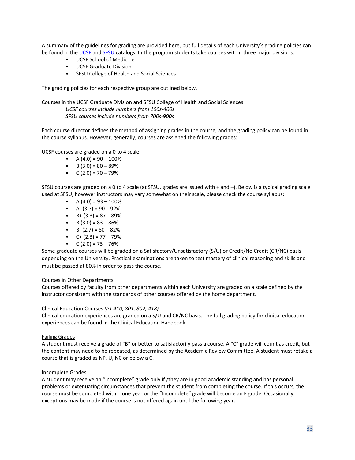A summary of the guidelines for grading are provided here, but full details of each University's grading policies can be found in th[e UCSF](https://registrar.ucsf.edu/student-records/grades) an[d SFSU](http://bulletin.sfsu.edu/policies-procedures/grading/) catalogs. In the program students take courses within three major divisions:

- UCSF School of Medicine
- UCSF Graduate Division
- SFSU College of Health and Social Sciences

The grading policies for each respective group are outlined below.

Courses in the UCSF Graduate Division and SFSU College of Health and Social Sciences *UCSF courses include numbers from 100s-400s SFSU courses include numbers from 700s-900s* 

Each course director defines the method of assigning grades in the course, and the grading policy can be found in the course syllabus. However, generally, courses are assigned the following grades:

UCSF courses are graded on a 0 to 4 scale:

- $A(4.0) = 90 100\%$
- $B(3.0) = 80 89%$
- $C (2.0) = 70 79\%$

SFSU courses are graded on a 0 to 4 scale (at SFSU, grades are issued with + and –). Below is a typical grading scale used at SFSU, however instructors may vary somewhat on their scale, please check the course syllabus:

- $A(4.0) = 93 100\%$
- $A (3.7) = 90 92\%$
- $B + (3.3) = 87 89%$
- B  $(3.0) = 83 86\%$
- B-  $(2.7) = 80 82%$
- $C+(2.3) = 77 79%$
- $C (2.0) = 73 76\%$

Some graduate courses will be graded on a Satisfactory/Unsatisfactory (S/U) or Credit/No Credit (CR/NC) basis depending on the University. Practical examinations are taken to test mastery of clinical reasoning and skills and must be passed at 80% in order to pass the course.

#### Courses in Other Departments

Courses offered by faculty from other departments within each University are graded on a scale defined by the instructor consistent with the standards of other courses offered by the home department.

#### Clinical Education Courses *(PT 410, 801, 802, 418)*

Clinical education experiences are graded on a S/U and CR/NC basis. The full grading policy for clinical education experiences can be found in the Clinical Education Handbook.

#### Failing Grades

A student must receive a grade of "B" or better to satisfactorily pass a course. A "C" grade will count as credit, but the content may need to be repeated, as determined by the Academic Review Committee. A student must retake a course that is graded as NP, U, NC or below a C.

#### Incomplete Grades

A student may receive an "Incomplete" grade only if /they are in good academic standing and has personal problems or extenuating circumstances that prevent the student from completing the course. If this occurs, the course must be completed within one year or the "Incomplete" grade will become an F grade. Occasionally, exceptions may be made if the course is not offered again until the following year.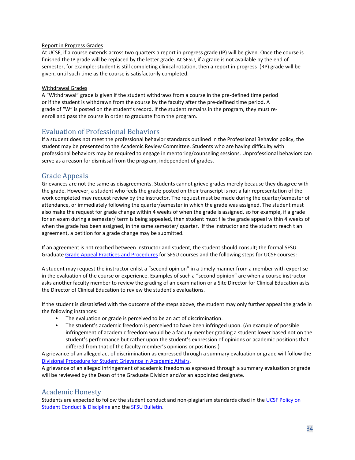#### Report in Progress Grades

At UCSF, if a course extends across two quarters a report in progress grade (IP) will be given. Once the course is finished the IP grade will be replaced by the letter grade. At SFSU, if a grade is not available by the end of semester, for example: student is still completing clinical rotation, then a report in progress (RP) grade will be given, until such time as the course is satisfactorily completed.

#### Withdrawal Grades

A "Withdrawal" grade is given if the student withdraws from a course in the pre-defined time period or if the student is withdrawn from the course by the faculty after the pre-defined time period. A grade of "W" is posted on the student's record. If the student remains in the program, they must reenroll and pass the course in order to graduate from the program.

# <span id="page-42-0"></span>Evaluation of Professional Behaviors

If a student does not meet the professional behavior standards outlined in the Professional Behavior policy, the student may be presented to the Academic Review Committee. Students who are having difficulty with professional behaviors may be required to engage in mentoring/counseling sessions. Unprofessional behaviors can serve as a reason for dismissal from the program, independent of grades.

# <span id="page-42-1"></span>Grade Appeals

Grievances are not the same as disagreements. Students cannot grieve grades merely because they disagree with the grade. However, a student who feels the grade posted on their transcript is not a fair representation of the work completed may request review by the instructor. The request must be made during the quarter/semester of attendance, or immediately following the quarter/semester in which the grade was assigned. The student must also make the request for grade change within 4 weeks of when the grade is assigned, so for example, if a grade for an exam during a semester/ term is being appealed, then student must file the grade appeal within 4 weeks of when the grade has been assigned, in the same semester/ quarter. If the instructor and the student reach t an agreement, a petition for a grade change may be submitted.

If an agreement is not reached between instructor and student, the student should consult; the formal SFSU Graduat[e Grade Appeal Practices and Procedures](https://senate.sfsu.edu/policy/grade-appeal-practices-procedures) for SFSU courses and the following steps for UCSF courses:

A student may request the instructor enlist a "second opinion" in a timely manner from a member with expertise in the evaluation of the course or experience. Examples of such a "second opinion" are when a course instructor asks another faculty member to review the grading of an examination or a Site Director for Clinical Education asks the Director of Clinical Education to review the student's evaluations.

If the student is dissatisfied with the outcome of the steps above, the student may only further appeal the grade in the following instances:

- The evaluation or grade is perceived to be an act of discrimination.
- The student's academic freedom is perceived to have been infringed upon. (An example of possible infringement of academic freedom would be a faculty member grading a student lower based not on the student's performance but rather upon the student's expression of opinions or academic positions that differed from that of the faculty member's opinions or positions.)

A grievance of an alleged act of discrimination as expressed through a summary evaluation or grade will follow the [Divisional Procedure for Student Grievance in Academic Affairs.](https://senate.ucsf.edu/appendix-VII)

A grievance of an alleged infringement of academic freedom as expressed through a summary evaluation or grade will be reviewed by the Dean of the Graduate Division and/or an appointed designate.

# <span id="page-42-2"></span>Academic Honesty

Students are expected to follow the student conduct and non-plagiarism standards cited in the [UCSF Policy on](https://studentlife.ucsf.edu/policies/campus-activities-orgs-students/10000-policy-on-student-conduct-and-discipline) [Student Conduct & Discipline](https://studentlife.ucsf.edu/policies/campus-activities-orgs-students/10000-policy-on-student-conduct-and-discipline) and the [SFSU Bulletin.](https://conduct.sfsu.edu/academic-dishonesty)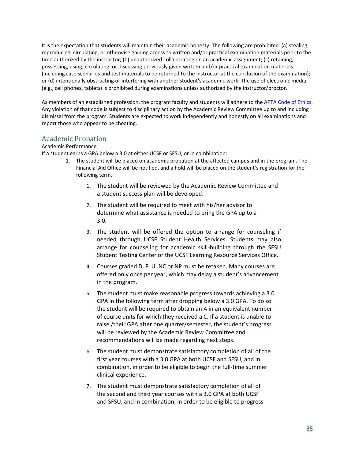It is the expectation that students will maintain their academic honesty. The following are prohibited (a) stealing, reproducing, circulating, or otherwise gaining access to written and/or practical examination materials prior to the time authorized by the instructor; (b) unauthorized collaborating on an academic assignment; (c) retaining, possessing, using, circulating, or discussing previously given written and/or practical examination materials (including case scenarios and test materials to be returned to the instructor at the conclusion of the examination); or (d) intentionally obstructing or interfering with another student's academic work. The use of electronic media (e.g., cell phones, tablets) is prohibited during examinations unless authorized by the instructor/proctor.

As members of an established profession, the program faculty and students will adhere to th[e APTA Code of Ethics.](http://www.apta.org/Ethics/Core/) Any violation of that code is subject to disciplinary action by the Academic Review Committee up to and including dismissal from the program. Students are expected to work independently and honestly on all examinations and report those who appear to be cheating.

# <span id="page-43-0"></span>Academic Probation

#### Academic Performance

If a student earns a GPA below a 3.0 at either UCSF or SFSU, or in combination:

- 1. The student will be placed on academic probation at the affected campus and in the program. The Financial Aid Office will be notified, and a hold will be placed on the student's registration for the following term.
	- 1. The student will be reviewed by the Academic Review Committee and a student success plan will be developed.
	- 2. The student will be required to meet with his/her advisor to determine what assistance is needed to bring the GPA up to a 3.0.
	- 3. The student will be offered the option to arrange for counseling if needed through UCSF Student Health Services. Students may also arrange for counseling for academic skill-building through the SFSU Student Testing Center or the UCSF Learning Resource Services Office.
	- 4. Courses graded D, F, U, NC or NP must be retaken. Many courses are offered only once per year, which may delay a student's advancement in the program.
	- 5. The student must make reasonable progress towards achieving a 3.0 GPA in the following term after dropping below a 3.0 GPA. To do so the student will be required to obtain an A in an equivalent number of course units for which they received a C. If a student is unable to raise /their GPA after one quarter/semester, the student's progress will be reviewed by the Academic Review Committee and recommendations will be made regarding next steps.
	- 6. The student must demonstrate satisfactory completion of all of the first year courses with a 3.0 GPA at both UCSF and SFSU, and in combination, in order to be eligible to begin the full-time summer clinical experience.
	- 7. The student must demonstrate satisfactory completion of all of the second and third year courses with a 3.0 GPA at both UCSF and SFSU, and in combination, in order to be eligible to progress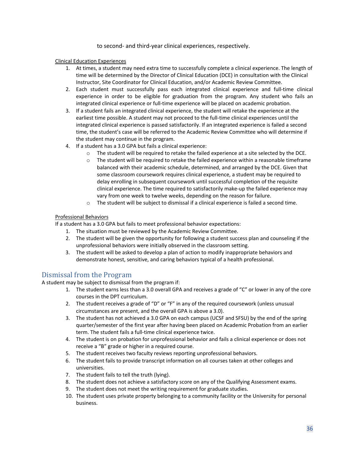to second- and third-year clinical experiences, respectively.

#### Clinical Education Experiences

- 1. At times, a student may need extra time to successfully complete a clinical experience. The length of time will be determined by the Director of Clinical Education (DCE) in consultation with the Clinical Instructor, Site Coordinator for Clinical Education, and/or Academic Review Committee.
- 2. Each student must successfully pass each integrated clinical experience and full-time clinical experience in order to be eligible for graduation from the program. Any student who fails an integrated clinical experience or full-time experience will be placed on academic probation.
- 3. If a student fails an integrated clinical experience, the student will retake the experience at the earliest time possible. A student may not proceed to the full-time clinical experiences until the integrated clinical experience is passed satisfactorily. If an integrated experience is failed a second time, the student's case will be referred to the Academic Review Committee who will determine if the student may continue in the program.
- 4. If a student has a 3.0 GPA but fails a clinical experience:
	- $\circ$  The student will be required to retake the failed experience at a site selected by the DCE.
	- o The student will be required to retake the failed experience within a reasonable timeframe balanced with their academic schedule, determined, and arranged by the DCE. Given that some classroom coursework requires clinical experience, a student may be required to delay enrolling in subsequent coursework until successful completion of the requisite clinical experience. The time required to satisfactorily make-up the failed experience may vary from one week to twelve weeks, depending on the reason for failure.
	- $\circ$  The student will be subject to dismissal if a clinical experience is failed a second time.

#### Professional Behaviors

If a student has a 3.0 GPA but fails to meet professional behavior expectations:

- 1. The situation must be reviewed by the Academic Review Committee.
- 2. The student will be given the opportunity for following a student success plan and counseling if the unprofessional behaviors were initially observed in the classroom setting.
- 3. The student will be asked to develop a plan of action to modify inappropriate behaviors and demonstrate honest, sensitive, and caring behaviors typical of a health professional.

# <span id="page-44-0"></span>Dismissal from the Program

A student may be subject to dismissal from the program if:

- 1. The student earns less than a 3.0 overall GPA and receives a grade of "C" or lower in any of the core courses in the DPT curriculum.
- 2. The student receives a grade of "D" or "F" in any of the required coursework (unless unusual circumstances are present, and the overall GPA is above a 3.0).
- 3. The student has not achieved a 3.0 GPA on each campus (UCSF and SFSU) by the end of the spring quarter/semester of the first year after having been placed on Academic Probation from an earlier term. The student fails a full-time clinical experience twice.
- 4. The student is on probation for unprofessional behavior and fails a clinical experience or does not receive a "B" grade or higher in a required course.
- 5. The student receives two faculty reviews reporting unprofessional behaviors.
- 6. The student fails to provide transcript information on all courses taken at other colleges and universities.
- 7. The student fails to tell the truth (lying).
- 8. The student does not achieve a satisfactory score on any of the Qualifying Assessment exams.
- 9. The student does not meet the writing requirement for graduate studies.
- 10. The student uses private property belonging to a community facility or the University for personal business.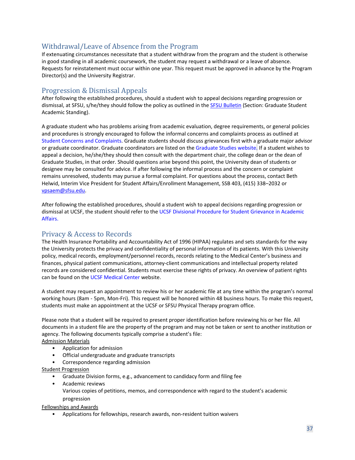# <span id="page-45-0"></span>Withdrawal/Leave of Absence from the Program

If extenuating circumstances necessitate that a student withdraw from the program and the student is otherwise in good standing in all academic coursework, the student may request a withdrawal or a leave of absence. Requests for reinstatement must occur within one year. This request must be approved in advance by the Program Director(s) and the University Registrar.

# <span id="page-45-1"></span>Progression & Dismissal Appeals

After following the established procedures, should a student wish to appeal decisions regarding progression or dismissal, at SFSU, s/he/they should follow the policy as outlined in the [SFSU Bulletin](http://bulletin.sfsu.edu/graduate-education/academic-policies-procedures/) (Section: Graduate Student Academic Standing).

A graduate student who has problems arising from academic evaluation, degree requirements, or general policies and procedures is strongly encouraged to follow the informal concerns and complaints process as outlined at [Student Concerns and Complaints.](https://vpsaem.sfsu.edu/content/student-concerns-and-complaints) Graduate students should discuss grievances first with a graduate major advisor or graduate coordinator. Graduate coordinators are listed on th[e Graduate Studies website.](https://grad.sfsu.edu/) If a student wishes to appeal a decision, he/she/they should then consult with the department chair, the college dean or the dean of Graduate Studies, in that order. Should questions arise beyond this point, the University dean of students or designee may be consulted for advice. If after following the informal process and the concern or complaint remains unresolved, students may pursue a formal complaint. For questions about the process, contact Beth Helwid, Interim Vice President for Student Affairs/Enrollment Management, SSB 403, (415) 338–2032 or [vpsaem@sfsu.edu.](mailto:vpsaem@sfsu.edu)

After following the established procedures, should a student wish to appeal decisions regarding progression or dismissal at UCSF, the student should refer to the [UCSF Divisional Procedure for Student Grievance in Academic](https://senate.ucsf.edu/appendix-VII) [Affairs.](https://senate.ucsf.edu/appendix-VII)

# <span id="page-45-2"></span>Privacy & Access to Records

The Health Insurance Portability and Accountability Act of 1996 (HIPAA) regulates and sets standards for the way the University protects the privacy and confidentiality of personal information of its patients. With this University policy, medical records, employment/personnel records, records relating to the Medical Center's business and finances, physical patient communications, attorney-client communications and intellectual property related records are considered confidential. Students must exercise these rights of privacy. An overview of patient rights can be found on the [UCSF Medical Center](https://www.ucsfhealth.org/your_stay/hospital_policies/#rights) website.

A student may request an appointment to review his or her academic file at any time within the program's normal working hours (8am - 5pm, Mon-Fri). This request will be honored within 48 business hours. To make this request, students must make an appointment at the UCSF or SFSU Physical Therapy program office.

Please note that a student will be required to present proper identification before reviewing his or her file. All documents in a student file are the property of the program and may not be taken or sent to another institution or agency. The following documents typically comprise a student's file: Admission Materials

# • Application for admission

- Official undergraduate and graduate transcripts
- Correspondence regarding admission

Student Progression

- Graduate Division forms, e.g., advancement to candidacy form and filing fee
- Academic reviews Various copies of petitions, memos, and correspondence with regard to the student's academic progression

Fellowships and Awards

• Applications for fellowships, research awards, non-resident tuition waivers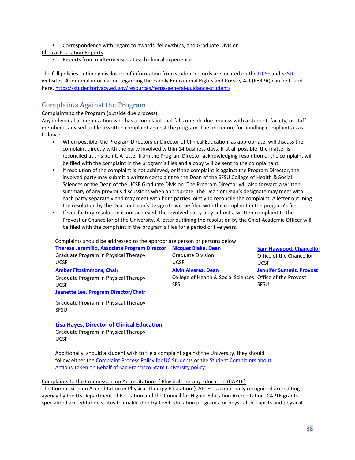• Correspondence with regard to awards, fellowships, and Graduate Division

Clinical Education Reports

• Reports from midterm visits at each clinical experience

The full policies outlining disclosure of information from student records are located on th[e](https://registrar.ucsf.edu/student-records/disclosure) [UCSF](https://registrar.ucsf.edu/student-records/disclosure) an[d SFSU](http://bulletin.sfsu.edu/policies-procedures/regulations-procedures/concerns-complaints/) websites. Additional information regarding the Family Educational Rights and Privacy Act (FERPA) can be found here[. https://studentprivacy.ed.gov/resources/ferpa-general-guidance-students](https://studentprivacy.ed.gov/resources/ferpa-general-guidance-students)

# <span id="page-46-0"></span>Complaints Against the Program

#### Complaints to the Program (outside due process)

Any individual or organization who has a complaint that falls outside due process with a student, faculty, or staff member is advised to file a written complaint against the program. The procedure for handling complaints is as follows:

- When possible, the Program Directors or Director of Clinical Education, as appropriate, will discuss the complaint directly with the party involved within 14 business days. If at all possible, the matter is reconciled at this point. A letter from the Program Director acknowledging resolution of the complaint will be filed with the complaint in the program's files and a copy will be sent to the complainant.
- If resolution of the complaint is not achieved, or if the complaint is against the Program Director, the involved party may submit a written complaint to the Dean of the SFSU College of Health & Social Sciences or the Dean of the UCSF Graduate Division. The Program Director will also forward a written summary of any previous discussions when appropriate. The Dean or Dean's designate may meet with each party separately and may meet with both parties jointly to reconcile the complaint. A letter outlining the resolution by the Dean or Dean's designate will be filed with the complaint in the program's files.
- If satisfactory resolution is not achieved, the involved party may submit a written complaint to the Provost or Chancellor of the University. A letter outlining the resolution by the Chief Academic Officer will be filed with the complaint in the program's files for a period of five years.

Complaints should be addressed to the appropriate person or persons below:

| <b>Theresa Jaramillo, Associate Program Director</b> | <b>Nicquet Blake, Dean</b>                                | <b>Sam Hawgood, Chancellor</b>  |
|------------------------------------------------------|-----------------------------------------------------------|---------------------------------|
| Graduate Program in Physical Therapy                 | <b>Graduate Division</b>                                  | Office of the Chancellor        |
| <b>UCSF</b>                                          | <b>UCSF</b>                                               | <b>UCSE</b>                     |
| <b>Amber Fitzsimmons, Chair</b>                      | <b>Alvin Alvarez, Dean</b>                                | <b>Jennifer Summit, Provost</b> |
| Graduate Program in Physical Therapy                 | College of Health & Social Sciences Office of the Provost |                                 |
| <b>UCSF</b>                                          | <b>SFSU</b>                                               | <b>SFSU</b>                     |
| Jeanette Lee, Program Director/Chair                 |                                                           |                                 |

Graduate Program in Physical Therapy SFSU

**[Lisa Hayes, Director of Clinical Education](https://ptrehab.ucsf.edu/lisa-hayes-pt-dpt-ccs)**

Graduate Program in Physical Therapy UCSF

Additionally, should a student wish to file a complaint against the University, they should follow either th[e Complaint Process Policy for UC Students](http://www.sa.ucsb.edu/docs/default-source/default-document-library/complaintdisclosure.pdf?sfvrsn=2) or the Student Complaints about [Actions Taken on Behalf of San](http://bulletin.sfsu.edu/policies-procedures/regulations-procedures/concerns-complaints/) [Francisco State University policy.](http://bulletin.sfsu.edu/policies-procedures/regulations-procedures/concerns-complaints/)

#### Complaints to the Commission on Accreditation of Physical Therapy Education (CAPTE)

The Commission on Accreditation in Physical Therapy Education (CAPTE) is a nationally recognized accrediting agency by the US Department of Education and the Council for Higher Education Accreditation. CAPTE grants specialized accreditation status to qualified entry-level education programs for physical therapists and physical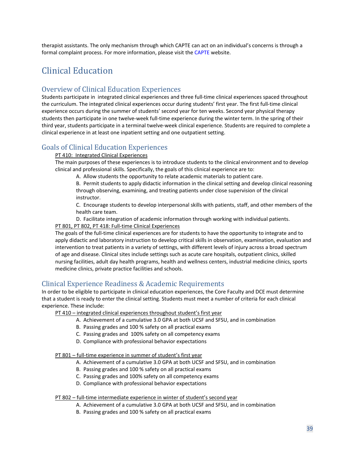therapist assistants. The only mechanism through which CAPTE can act on an individual's concerns is through a formal complaint process. For more information, please visit th[e CAPTE](http://www.capteonline.org/Complaints/) website.

# <span id="page-47-0"></span>Clinical Education

# <span id="page-47-1"></span>Overview of Clinical Education Experiences

Students participate in integrated clinical experiences and three full-time clinical experiences spaced throughout the curriculum. The integrated clinical experiences occur during students' first year. The first full-time clinical experience occurs during the summer of students' second year for ten weeks. Second year physical therapy students then participate in one twelve-week full-time experience during the winter term. In the spring of their third year, students participate in a terminal twelve-week clinical experience. Students are required to complete a clinical experience in at least one inpatient setting and one outpatient setting.

# <span id="page-47-2"></span>Goals of Clinical Education Experiences

#### PT 410: Integrated Clinical Experiences

The main purposes of these experiences is to introduce students to the clinical environment and to develop clinical and professional skills. Specifically, the goals of this clinical experience are to:

A. Allow students the opportunity to relate academic materials to patient care.

B. Permit students to apply didactic information in the clinical setting and develop clinical reasoning through observing, examining, and treating patients under close supervision of the clinical instructor.

C. Encourage students to develop interpersonal skills with patients, staff, and other members of the health care team.

D. Facilitate integration of academic information through working with individual patients.

#### PT 801, PT 802, PT 418: Full-time Clinical Experiences

The goals of the full-time clinical experiences are for students to have the opportunity to integrate and to apply didactic and laboratory instruction to develop critical skills in observation, examination, evaluation and intervention to treat patients in a variety of settings, with different levels of injury across a broad spectrum of age and disease. Clinical sites include settings such as acute care hospitals, outpatient clinics, skilled nursing facilities, adult day health programs, health and wellness centers, industrial medicine clinics, sports medicine clinics, private practice facilities and schools.

# <span id="page-47-3"></span>Clinical Experience Readiness & Academic Requirements

In order to be eligible to participate in clinical education experiences, the Core Faculty and DCE must determine that a student is ready to enter the clinical setting. Students must meet a number of criteria for each clinical experience. These include:

PT 410 – integrated clinical experiences throughout student's first year

- A. Achievement of a cumulative 3.0 GPA at both UCSF and SFSU, and in combination
- B. Passing grades and 100 % safety on all practical exams
- C. Passing grades and 100% safety on all competency exams
- D. Compliance with professional behavior expectations

#### PT 801 – full-time experience in summer of student's first year

- A. Achievement of a cumulative 3.0 GPA at both UCSF and SFSU, and in combination
- B. Passing grades and 100 % safety on all practical exams
- C. Passing grades and 100% safety on all competency exams
- D. Compliance with professional behavior expectations

#### PT 802 – full-time intermediate experience in winter of student's second year

- A. Achievement of a cumulative 3.0 GPA at both UCSF and SFSU, and in combination
- B. Passing grades and 100 % safety on all practical exams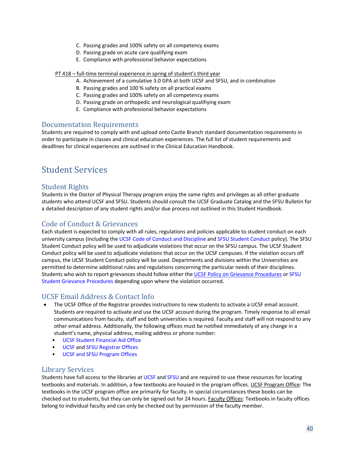- C. Passing grades and 100% safety on all competency exams
- D. Passing grade on acute care qualifying exam
- E. Compliance with professional behavior expectations

#### PT 418 – full-time terminal experience in spring of student's third year

- A. Achievement of a cumulative 3.0 GPA at both UCSF and SFSU, and in combination
- B. Passing grades and 100 % safety on all practical exams
- C. Passing grades and 100% safety on all competency exams
- D. Passing grade on orthopedic and neurological qualifiying exam
- E. Compliance with professional behavior expectations

### <span id="page-48-0"></span>Documentation Requirements

Students are required to comply with and upload onto Castle Branch standard documentation requirements in order to participate in classes and clinical education experiences. The full list of student requirements and deadlines for clinical experiences are outlined in the Clinical Education Handbook.

# <span id="page-48-1"></span>Student Services

# <span id="page-48-2"></span>Student Rights

Students in the Doctor of Physical Therapy program enjoy the same rights and privileges as all other graduate students who attend UCSF and SFSU. Students should consult the UCSF Graduate Catalog and the SFSU Bulletin for a detailed description of any student rights and/or due process not outlined in this Student Handbook.

# <span id="page-48-3"></span>Code of Conduct & Grievances

Each student is expected to comply with all rules, regulations and policies applicable to student conduct on each university campus (including the [UCSF Code of Conduct and Discipline](https://chancellor.ucsf.edu/sites/chancellor.ucsf.edu/files/Code%20of%20Conduct.pdf) and [SFSU Student Conduct](https://conduct.sfsu.edu/standards) policy). The SFSU Student Conduct policy will be used to adjudicate violations that occur on the SFSU campus. The UCSF Student Conduct policy will be used to adjudicate violations that occur on the UCSF campuses. If the violation occurs off campus, the UCSF Student Conduct policy will be used. Departments and divisions within the Universities are permitted to determine additional rules and regulations concerning the particular needs of their disciplines. Students who wish to report grievances should follow either the [UCSF Policy on Grievance Procedures](https://studentlife.ucsf.edu/student-conduct-and-discipline) o[r SFSU](https://conduct.sfsu.edu/student_resources) [Student Grievance Procedures](https://conduct.sfsu.edu/student_resources) depending upon where the violation occurred.

# <span id="page-48-4"></span>UCSF Email Address & Contact Info

- The UCSF Office of the Registrar provides instructions to new students to activate a UCSF email account. Students are required to activate and use the UCSF account during the program. Timely response to all email communications from faculty, staff and both universities is required. Faculty and staff will not respond to any other email address. Additionally, the following offices must be notified immediately of any change in a student's name, physical address, mailing address or phone number:
	- [UCSF Student Financial Aid Office](https://finaid.ucsf.edu/)
	- [UCSF](https://registrar.ucsf.edu/) and [SFSU](http://registrar.sfsu.edu/) Registrar Offices
	- [UCSF and SFSU Program Offices](https://ptrehab.ucsf.edu/location-directions)

# <span id="page-48-5"></span>Library Services

Students have full access to the libraries a[t UCSF](https://www.library.ucsf.edu/) an[d SFSU](http://library.sfsu.edu/) and are required to use these resources for locating textbooks and materials. In addition, a few textbooks are housed in the program offices. UCSF Program Office: The textbooks in the UCSF program office are primarily for faculty. In special circumstances these books can be checked out to students, but they can only be signed out for 24 hours. Faculty Offices: Textbooks in faculty offices belong to individual faculty and can only be checked out by permission of the faculty member.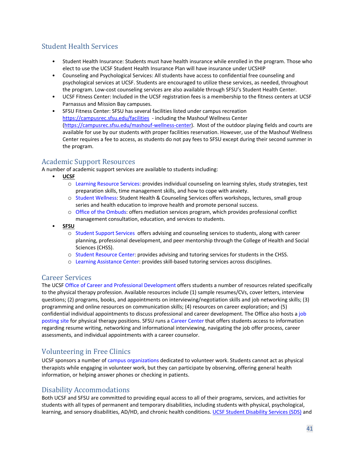# <span id="page-49-0"></span>Student Health Services

- Student Health Insurance: Students must have health insurance while enrolled in the program. Those who elect to use the UCSF Student Health Insurance Plan will have insurance under UCSHIP
- Counseling and Psychological Services: All students have access to confidential free counseling and psychological services at UCSF. Students are encouraged to utilize these services, as needed, throughout the program. Low-cost counseling services are also available through SFSU's Student Health Center.
- UCSF Fitness Center: Included in the UCSF registration fees is a membership to the fitness centers at UCSF Parnassus and Mission Bay campuses.
- SFSU Fitness Center: SFSU has several facilities listed under campus recreation <https://campusrec.sfsu.edu/facilities> - including the Mashouf Wellness Center [\(https://campusrec.sfsu.edu/mashouf-wellness-center\)](https://campusrec.sfsu.edu/mashouf-wellness-center). Most of the outdoor playing fields and courts are available for use by our students with proper facilities reservation. However, use of the Mashouf Wellness Center requires a fee to access, as students do not pay fees to SFSU except during their second summer in the program.

# <span id="page-49-1"></span>Academic Support Resources

A number of academic support services are available to students including:

- **UCSF**
	- o [Learning Resource Services:](https://learn.ucsf.edu/) provides individual counseling on learning styles, study strategies, test preparation skills, time management skills, and how to cope with anxiety.
	- o [Student Wellness:](https://studenthealth.ucsf.edu/wellness) Student Health & Counseling Services offers workshops, lectures, small group series and health education to improve health and promote personal success.
	- o [Office of the Ombuds:](https://titleix.sfsu.edu/content/office-ombuds) offers mediation services program, which provides professional conflict management consultation, education, and services to students.
- **SFSU**
	- o [Student Support Services](http://studentsuccess.sfsu.edu/) offers advising and counseling services to students, along with career planning, professional development, and peer mentorship through the College of Health and Social Sciences (CHSS).
	- o [Student Resource Center:](http://chss.sfsu.edu/src) provides advising and tutoring services for students in the CHSS.
	- o [Learning Assistance Center:](http://lac.sfsu.edu/) provides skill-based tutoring services across disciplines.

# <span id="page-49-2"></span>Career Services

The UCS[F Office of Career and Professional Development](https://career.ucsf.edu/physical-therapy-students) offers students a number of resources related specifically to the physical therapy profession. Available resources include (1) sample resumes/CVs, cover letters, interview questions; (2) programs, books, and appointments on interviewing/negotiation skills and job networking skills; (3) programming and online resources on communication skills; (4) resources on career exploration; and (5) confidential individual appointments to discuss professional and career development. The Office also hosts [a job](https://opportunities.ucsf.edu/) [posting site](https://opportunities.ucsf.edu/) for physical therapy positions. SFSU runs a [Career Center](http://careerservices.sfsu.edu/) that offers students access to information regarding resume writing, networking and informational interviewing, navigating the job offer process, career assessments, and individual appointments with a career counselor.

# <span id="page-49-3"></span>Volunteering in Free Clinics

UCSF sponsors a number of [campus organizations](https://studentlife.ucsf.edu/) dedicated to volunteer work. Students cannot act as physical therapists while engaging in volunteer work, but they can participate by observing, offering general health information, or helping answer phones or checking in patients.

# <span id="page-49-4"></span>Disability Accommodations

Both UCSF and SFSU are committed to providing equal access to all of their programs, services, and activities for students with all types of permanent and temporary disabilities, including students with physical, psychological, learning, and sensory disabilities, AD/HD, and chronic health conditions. [UCSF Student Disability Services \(SDS\)](https://sds.ucsf.edu/) and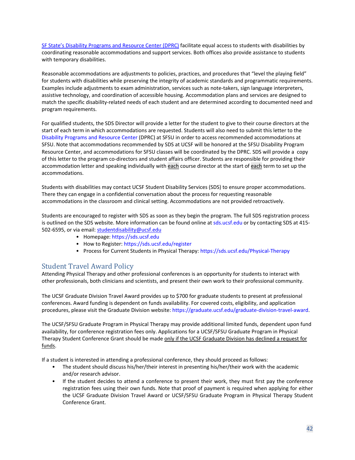[SF State's Disability Programs and Resource Center \(DPRC\)](https://access.sfsu.edu/) facilitate equal access to students with disabilities by coordinating reasonable accommodations and support services. Both offices also provide assistance to students with temporary disabilities.

Reasonable accommodations are adjustments to policies, practices, and procedures that "level the playing field" for students with disabilities while preserving the integrity of academic standards and programmatic requirements. Examples include adjustments to exam administration, services such as note-takers, sign language interpreters, assistive technology, and coordination of accessible housing. Accommodation plans and services are designed to match the specific disability-related needs of each student and are determined according to documented need and program requirements.

For qualified students, the SDS Director will provide a letter for the student to give to their course directors at the start of each term in which accommodations are requested. Students will also need to submit this letter to the [Disability Programs and Resource Center](http://access.sfsu.edu/) (DPRC) at SFSU in order to access recommended accommodations at SFSU. Note that accommodations recommended by SDS at UCSF will be honored at the SFSU Disability Program Resource Center, and accommodations for SFSU classes will be coordinated by the DPRC. SDS will provide a copy of this letter to the program co-directors and student affairs officer. Students are responsible for providing their accommodation letter and speaking individually with each course director at the start of each term to set up the accommodations.

Students with disabilities may contact UCSF Student Disability Services (SDS) to ensure proper accommodations. There they can engage in a confidential conversation about the process for requesting reasonable accommodations in the classroom and clinical setting. Accommodations are not provided retroactively.

Students are encouraged to register with SDS as soon as they begin the program. The full SDS registration process is outlined on the SDS website. More information can be found online at [sds.ucsf.edu](https://sds.ucsf.edu/) or by contacting SDS at 415- 502-6595, or via email[: studentdisability@ucsf.edu](mailto:studentdisability@ucsf.edu)

- Homepage: [https://sds.ucsf.edu](https://sds.ucsf.edu/)
- How to Register: <https://sds.ucsf.edu/register>
- Process for Current Students in Physical Therapy: <https://sds.ucsf.edu/Physical-Therapy>

# <span id="page-50-0"></span>Student Travel Award Policy

Attending Physical Therapy and other professional conferences is an opportunity for students to interact with other professionals, both clinicians and scientists, and present their own work to their professional community.

The UCSF Graduate Division Travel Award provides up to \$700 for graduate students to present at professional conferences. Award funding is dependent on funds availability. For covered costs, eligibility, and application procedures, please visit the Graduate Division website[: https://graduate.ucsf.edu/graduate-division-travel-award.](https://graduate.ucsf.edu/graduate-division-travel-award)

The UCSF/SFSU Graduate Program in Physical Therapy may provide additional limited funds, dependent upon fund availability, for conference registration fees only. Applications for a UCSF/SFSU Graduate Program in Physical Therapy Student Conference Grant should be made only if the UCSF Graduate Division has declined a request for funds.

If a student is interested in attending a professional conference, they should proceed as follows:

- The student should discuss his/her/their interest in presenting his/her/their work with the academic and/or research advisor.
- If the student decides to attend a conference to present their work, they must first pay the conference registration fees using their own funds. Note that proof of payment is required when applying for either the UCSF Graduate Division Travel Award or UCSF/SFSU Graduate Program in Physical Therapy Student Conference Grant.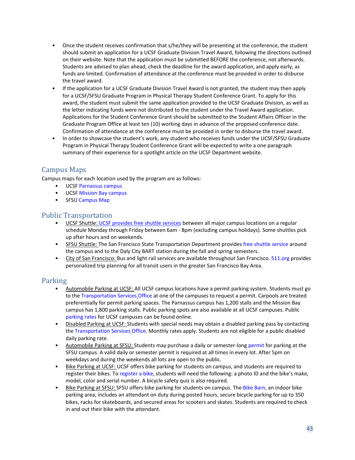- Once the student receives confirmation that s/he/they will be presenting at the conference, the student should submit an application for a UCSF Graduate Division Travel Award, following the directions outlined on their website. Note that the application must be submitted BEFORE the conference, not afterwards. Students are advised to plan ahead, check the deadline for the award application, and apply early, as funds are limited. Confirmation of attendance at the conference must be provided in order to disburse the travel award.
- If the application for a UCSF Graduate Division Travel Award is not granted, the student may then apply for a UCSF/SFSU Graduate Program in Physical Therapy Student Conference Grant. To apply for this award, the student must submit the same application provided to the UCSF Graduate Division, as well as the letter indicating funds were not distributed to the student under the Travel Award application. Applications for the Student Conference Grant should be submitted to the Student Affairs Officer in the Graduate Program Office at least ten (10) working days in advance of the proposed conference date. Confirmation of attendance at the conference must be provided in order to disburse the travel award.
- In order to showcase the student's work, any student who receives funds under the UCSF/SFSU Graduate Program in Physical Therapy Student Conference Grant will be expected to write a one paragraph summary of their experience for a spotlight article on the UCSF Department website.

# <span id="page-51-0"></span>Campus Maps

Campus maps for each location used by the program are as follows:

- UCSF [Parnassus campus](https://www.ucsf.edu/maps/parnassus)
- UCSF [Mission Bay campus](https://www.ucsf.edu/maps/mission-bay)
- SFSU [Campus Map](http://www.sfsu.edu/%7Esfsumap/)

- <span id="page-51-1"></span>Public Transportation<br>• UCSF Shuttle[: UCSF provides free shuttle services](https://campuslifeservices.ucsf.edu/transportation/) between all major campus locations on a regular schedule Monday through Friday between 6am - 8pm (excluding campus holidays). Some shuttles pick up after hours and on weekends.
	- SFSU Shuttle: The San Francisco State Transportation Department provide[s free shuttle service](http://parking.sfsu.edu/transit/shuttle-service) around the campus and to the Daly City BART station during the fall and spring semesters.
	- City of San Francisco: Bus and light rail services are available throughout San Francisco. [511.org](https://511.org/) provides personalized trip planning for all transit users in the greater San Francisco Bay Area.

- <span id="page-51-2"></span>Parking<br>• Automobile Parking at UCSF: All UCSF campus locations have a permit parking system. Students must go to the [Transportation Services](https://campuslifeservices.ucsf.edu/transportation/information/contact_us) [Office](https://campuslifeservices.ucsf.edu/transportation/information/contact_us) at one of the campuses to request a permit. Carpools are treated preferentially for permit parking spaces. The Parnassus campus has 1,200 stalls and the Mission Bay campus has 1,800 parking stalls. Public parking spots are also available at all UCSF campuses. Public [parking rates](https://campuslifeservices.ucsf.edu/transportation/services/parking/public_parking) for UCSF campuses can be found online.
	- Disabled Parking at UCSF: Students with special needs may obtain a disabled parking pass by contacting the [Transportation Services](https://campuslifeservices.ucsf.edu/transportation/information/contact_us) [Office.](https://campuslifeservices.ucsf.edu/transportation/information/contact_us) Monthly rates apply. Students are not eligible for a public disabled daily parking rate.
	- Automobile Parking at SFSU: Students may purchase a daily or semester-lon[g permit](http://parking.sfsu.edu/sfsu-parking/parking-permits) for parking at the SFSU campus. A valid daily or semester permit is required at all times in every lot. After 5pm on weekdays and during the weekends all lots are open to the public.
	- Bike Parking at UCSF: UCSF offers bike parking for students on campus, and students are required to register their bikes. T[o register a bike,](https://campuslifeservices.ucsf.edu/transportation/services/biking) students will need the following: a photo ID and the bike's make, model, color and serial number. A bicycle safety quiz is also required.
	- Bike Parking at SFSU: SFSU offers bike parking for students on campus. The [Bike Barn,](http://parking.sfsu.edu/biking/bike-barn-parking) an indoor bike parking area, includes an attendant on duty during posted hours, secure bicycle parking for up to 350 bikes, racks for skateboards, and secured areas for scooters and skates. Students are required to check in and out their bike with the attendant.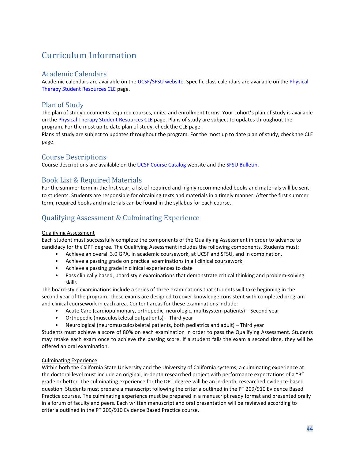# <span id="page-52-0"></span>Curriculum Information

# <span id="page-52-1"></span>Academic Calendars

Academic calendars are available on th[e UCSF/SFSU website.](http://ptrehab.ucsf.edu/calendars-schedules) Specific class calendars are available on th[e Physical](https://courses.ucsf.edu/course/view.php?id=524) [Therapy Student Resources CLE](https://courses.ucsf.edu/course/search.php?search=physical+therapy+student+resources) page.

# <span id="page-52-2"></span>Plan of Study

The plan of study documents required courses, units, and enrollment terms. Your cohort's plan of study is available on th[e Physical](https://courses.ucsf.edu/course/view.php?id=524) [Therapy Student Resources CLE](https://courses.ucsf.edu/course/view.php?id=524) page. Plans of study are subject to updates throughout the program. For the most up to date plan of study, check the CLE page.

Plans of study are subject to updates throughout the program. For the most up to date plan of study, check the CLE page.

# <span id="page-52-3"></span>Course Descriptions

Course descriptions are available on th[e UCSF Course Catalog](https://coursecatalog.ucsf.edu/) website and th[e SFSU Bulletin.](http://bulletin.sfsu.edu/courses/)

# <span id="page-52-4"></span>Book List & Required Materials

For the summer term in the first year, a list of required and highly recommended books and materials will be sent to students. Students are responsible for obtaining texts and materials in a timely manner. After the first summer term, required books and materials can be found in the syllabus for each course.

# <span id="page-52-5"></span>Qualifying Assessment & Culminating Experience

#### Qualifying Assessment

Each student must successfully complete the components of the Qualifying Assessment in order to advance to candidacy for the DPT degree. The Qualifying Assessment includes the following components. Students must:

- Achieve an overall 3.0 GPA, in academic coursework, at UCSF and SFSU, and in combination.
- Achieve a passing grade on practical examinations in all clinical coursework.
- Achieve a passing grade in clinical experiences to date
- Pass clinically based, board style examinations that demonstrate critical thinking and problem-solving skills.

The board-style examinations include a series of three examinations that students will take beginning in the second year of the program. These exams are designed to cover knowledge consistent with completed program and clinical coursework in each area. Content areas for these examinations include:

- Acute Care (cardiopulmonary, orthopedic, neurologic, multisystem patients) Second year
- Orthopedic (musculoskeletal outpatients) Third year
- Neurological (neuromusculoskeletal patients, both pediatrics and adult) Third year

Students must achieve a score of 80% on each examination in order to pass the Qualifying Assessment. Students may retake each exam once to achieve the passing score. If a student fails the exam a second time, they will be offered an oral examination.

#### Culminating Experience

Within both the California State University and the University of California systems, a culminating experience at the doctoral level must include an original, in-depth researched project with performance expectations of a "B" grade or better. The culminating experience for the DPT degree will be an in-depth, researched evidence-based question. Students must prepare a manuscript following the criteria outlined in the PT 209/910 Evidence Based Practice courses. The culminating experience must be prepared in a manuscript ready format and presented orally in a forum of faculty and peers. Each written manuscript and oral presentation will be reviewed according to criteria outlined in the PT 209/910 Evidence Based Practice course.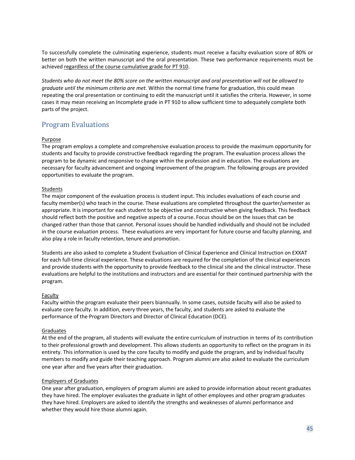To successfully complete the culminating experience, students must receive a faculty evaluation score of 80% or better on both the written manuscript and the oral presentation. These two performance requirements must be achieved regardless of the course cumulative grade for PT 910.

*Students who do not meet the 80% score on the written manuscript and oral presentation will not be allowed to graduate until the minimum criteria are met.* Within the normal time frame for graduation, this could mean repeating the oral presentation or continuing to edit the manuscript until it satisfies the criteria. However, in some cases it may mean receiving an Incomplete grade in PT 910 to allow sufficient time to adequately complete both parts of the project.

# <span id="page-53-0"></span>Program Evaluations

#### Purpose

The program employs a complete and comprehensive evaluation process to provide the maximum opportunity for students and faculty to provide constructive feedback regarding the program. The evaluation process allows the program to be dynamic and responsive to change within the profession and in education. The evaluations are necessary for faculty advancement and ongoing improvement of the program. The following groups are provided opportunities to evaluate the program.

#### **Students**

The major component of the evaluation process is student input. This includes evaluations of each course and faculty member(s) who teach in the course. These evaluations are completed throughout the quarter/semester as appropriate. It is important for each student to be objective and constructive when giving feedback. This feedback should reflect both the positive and negative aspects of a course. Focus should be on the issues that can be changed rather than those that cannot. Personal issues should be handled individually and should not be included in the course evaluation process. These evaluations are very important for future course and faculty planning, and also play a role in faculty retention, tenure and promotion.

Students are also asked to complete a Student Evaluation of Clinical Experience and Clinical Instruction on EXXAT for each full-time clinical experience. These evaluations are required for the completion of the clinical experiences and provide students with the opportunity to provide feedback to the clinical site and the clinical instructor. These evaluations are helpful to the institutions and instructors and are essential for their continued partnership with the program.

#### Faculty

Faculty within the program evaluate their peers biannually. In some cases, outside faculty will also be asked to evaluate core faculty. In addition, every three years, the faculty, and students are asked to evaluate the performance of the Program Directors and Director of Clinical Education (DCE).

#### Graduates

At the end of the program, all students will evaluate the entire curriculum of instruction in terms of its contribution to their professional growth and development. This allows students an opportunity to reflect on the program in its entirety. This information is used by the core faculty to modify and guide the program, and by individual faculty members to modify and guide their teaching approach. Program alumni are also asked to evaluate the curriculum one year after and five years after their graduation.

#### Employers of Graduates

One year after graduation, employers of program alumni are asked to provide information about recent graduates they have hired. The employer evaluates the graduate in light of other employees and other program graduates they have hired. Employers are asked to identify the strengths and weaknesses of alumni performance and whether they would hire those alumni again.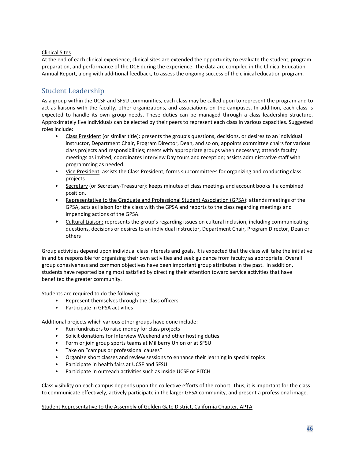#### Clinical Sites

At the end of each clinical experience, clinical sites are extended the opportunity to evaluate the student, program preparation, and performance of the DCE during the experience. The data are compiled in the Clinical Education Annual Report, along with additional feedback, to assess the ongoing success of the clinical education program.

# <span id="page-54-0"></span>Student Leadership

As a group within the UCSF and SFSU communities, each class may be called upon to represent the program and to act as liaisons with the faculty, other organizations, and associations on the campuses. In addition, each class is expected to handle its own group needs. These duties can be managed through a class leadership structure. Approximately five individuals can be elected by their peers to represent each class in various capacities. Suggested roles include:

- Class President (or similar title): presents the group's questions, decisions, or desires to an individual instructor, Department Chair, Program Director, Dean, and so on; appoints committee chairs for various class projects and responsibilities; meets with appropriate groups when necessary; attends faculty meetings as invited; coordinates Interview Day tours and reception; assists administrative staff with programming as needed.
- Vice President: assists the Class President, forms subcommittees for organizing and conducting class projects.
- Secretary (or Secretary-Treasurer): keeps minutes of class meetings and account books if a combined position.
- Representative to the Graduate and Professional Student Association (GPSA): attends meetings of the GPSA, acts as liaison for the class with the GPSA and reports to the class regarding meetings and impending actions of the GPSA.
- Cultural Liaison: represents the group's regarding issues on cultural inclusion, including communicating questions, decisions or desires to an individual instructor, Department Chair, Program Director, Dean or others

Group activities depend upon individual class interests and goals. It is expected that the class will take the initiative in and be responsible for organizing their own activities and seek guidance from faculty as appropriate. Overall group cohesiveness and common objectives have been important group attributes in the past. In addition, students have reported being most satisfied by directing their attention toward service activities that have benefited the greater community.

Students are required to do the following:

- Represent themselves through the class officers
- Participate in GPSA activities

Additional projects which various other groups have done include:

- Run fundraisers to raise money for class projects
- Solicit donations for Interview Weekend and other hosting duties
- Form or join group sports teams at Millberry Union or at SFSU
- Take on "campus or professional causes"
- Organize short classes and review sessions to enhance their learning in special topics
- Participate in health fairs at UCSF and SFSU
- Participate in outreach activities such as Inside UCSF or PITCH

Class visibility on each campus depends upon the collective efforts of the cohort. Thus, it is important for the class to communicate effectively, actively participate in the larger GPSA community, and present a professional image.

#### Student Representative to the Assembly of Golden Gate District, California Chapter, APTA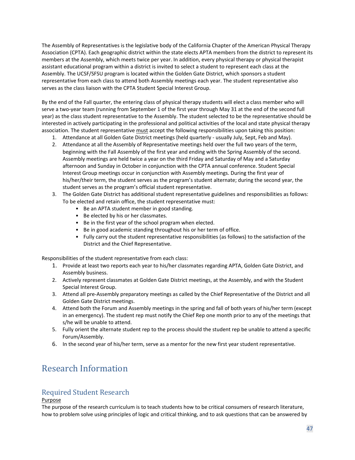The Assembly of Representatives is the legislative body of the California Chapter of the American Physical Therapy Association (CPTA). Each geographic district within the state elects APTA members from the district to represent its members at the Assembly, which meets twice per year. In addition, every physical therapy or physical therapist assistant educational program within a district is invited to select a student to represent each class at the Assembly. The UCSF/SFSU program is located within the Golden Gate District, which sponsors a student representative from each class to attend both Assembly meetings each year. The student representative also serves as the class liaison with the CPTA Student Special Interest Group.

By the end of the Fall quarter, the entering class of physical therapy students will elect a class member who will serve a two-year team (running from September 1 of the first year through May 31 at the end of the second full year) as the class student representative to the Assembly. The student selected to be the representative should be interested in actively participating in the professional and political activities of the local and state physical therapy association. The student representative must accept the following responsibilities upon taking this position:

- 1. Attendance at all Golden Gate District meetings (held quarterly usually July, Sept, Feb and May).
- 2. Attendance at all the Assembly of Representative meetings held over the full two years of the term, beginning with the Fall Assembly of the first year and ending with the Spring Assembly of the second. Assembly meetings are held twice a year on the third Friday and Saturday of May and a Saturday afternoon and Sunday in October in conjunction with the CPTA annual conference. Student Special Interest Group meetings occur in conjunction with Assembly meetings. During the first year of his/her/their term, the student serves as the program's student alternate; during the second year, the student serves as the program's official student representative.
- 3. The Golden Gate District has additional student representative guidelines and responsibilities as follows: To be elected and retain office, the student representative must:
	- Be an APTA student member in good standing.
	- Be elected by his or her classmates.
	- Be in the first year of the school program when elected.
	- Be in good academic standing throughout his or her term of office.
	- Fully carry out the student representative responsibilities (as follows) to the satisfaction of the District and the Chief Representative.

Responsibilities of the student representative from each class:

- 1. Provide at least two reports each year to his/her classmates regarding APTA, Golden Gate District, and Assembly business.
- 2. Actively represent classmates at Golden Gate District meetings, at the Assembly, and with the Student Special Interest Group.
- 3. Attend all pre-Assembly preparatory meetings as called by the Chief Representative of the District and all Golden Gate District meetings.
- 4. Attend both the Forum and Assembly meetings in the spring and fall of both years of his/her term (except in an emergency). The student rep must notify the Chief Rep one month prior to any of the meetings that s/he will be unable to attend.
- 5. Fully orient the alternate student rep to the process should the student rep be unable to attend a specific Forum/Assembly.
- 6. In the second year of his/her term, serve as a mentor for the new first year student representative.

# <span id="page-55-0"></span>Research Information

# <span id="page-55-1"></span>Required Student Research

### Purpose

The purpose of the research curriculum is to teach students how to be critical consumers of research literature, how to problem solve using principles of logic and critical thinking, and to ask questions that can be answered by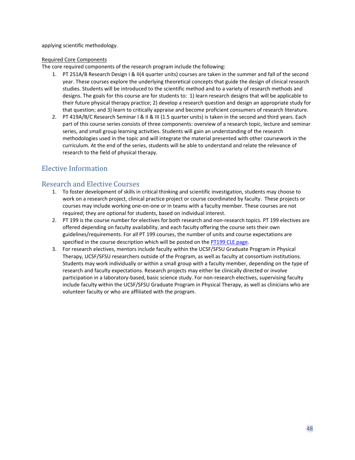applying scientific methodology.

#### Required Core Components

The core required components of the research program include the following:

- 1. PT 251A/B Research Design I & II(4 quarter units) courses are taken in the summer and fall of the second year. These courses explore the underlying theoretical concepts that guide the design of clinical research studies. Students will be introduced to the scientific method and to a variety of research methods and designs. The goals for this course are for students to: 1) learn research designs that will be applicable to their future physical therapy practice; 2) develop a research question and design an appropriate study for that question; and 3) learn to critically appraise and become proficient consumers of research literature.
- 2. PT 419A/B/C Research Seminar I & II & III (1.5 quarter units) is taken in the second and third years. Each part of this course series consists of three components: overview of a research topic, lecture and seminar series, and small group learning activities. Students will gain an understanding of the research methodologies used in the topic and will integrate the material presented with other coursework in the curriculum. At the end of the series, students will be able to understand and relate the relevance of research to the field of physical therapy.

# <span id="page-56-0"></span>Elective Information

# <span id="page-56-1"></span>Research and Elective Courses

- 1. To foster development of skills in critical thinking and scientific investigation, students may choose to work on a research project, clinical practice project or course coordinated by faculty. These projects or courses may include working one-on-one or in teams with a faculty member. These courses are not required; they are optional for students, based on individual interest.
- 2. PT 199 is the course number for electives for both research and non-research topics. PT 199 electives are offered depending on faculty availability, and each faculty offering the course sets their own guidelines/requirements. For all PT 199 courses, the number of units and course expectations are specified in the course description which will be posted on th[e PT199 CLE page.](https://courses.ucsf.edu/course/view.php?id=679))
- 3. For research electives, mentors include faculty within the UCSF/SFSU Graduate Program in Physical Therapy, UCSF/SFSU researchers outside of the Program, as well as faculty at consortium institutions. Students may work individually or within a small group with a faculty member, depending on the type of research and faculty expectations. Research projects may either be clinically directed or involve participation in a laboratory-based, basic science study. For non-research electives, supervising faculty include faculty within the UCSF/SFSU Graduate Program in Physical Therapy, as well as clinicians who are volunteer faculty or who are affiliated with the program.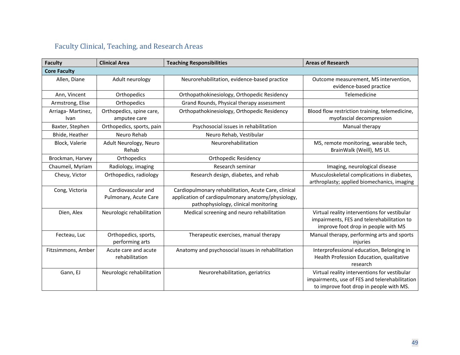# Faculty Clinical, Teaching, and Research Areas

<span id="page-57-0"></span>

| <b>Faculty</b>            | <b>Clinical Area</b>                        | <b>Teaching Responsibilities</b>                                                                                                                   | <b>Areas of Research</b>                                                                                                                  |
|---------------------------|---------------------------------------------|----------------------------------------------------------------------------------------------------------------------------------------------------|-------------------------------------------------------------------------------------------------------------------------------------------|
| <b>Core Faculty</b>       |                                             |                                                                                                                                                    |                                                                                                                                           |
| Allen, Diane              | Adult neurology                             | Neurorehabilitation, evidence-based practice                                                                                                       | Outcome measurement, MS intervention,<br>evidence-based practice                                                                          |
| Ann, Vincent              | Orthopedics                                 | Orthopathokinesiology, Orthopedic Residency                                                                                                        | Telemedicine                                                                                                                              |
| Armstrong, Elise          | Orthopedics                                 | Grand Rounds, Physical therapy assessment                                                                                                          |                                                                                                                                           |
| Arriaga-Martinez,<br>Ivan | Orthopedics, spine care,<br>amputee care    | Orthopathokinesiology, Orthopedic Residency                                                                                                        | Blood flow restriction training, telemedicine,<br>myofascial decompression                                                                |
| Baxter, Stephen           | Orthopedics, sports, pain                   | Psychosocial issues in rehabilitation                                                                                                              | Manual therapy                                                                                                                            |
| Bhide, Heather            | Neuro Rehab                                 | Neuro Rehab, Vestibular                                                                                                                            |                                                                                                                                           |
| Block, Valerie            | Adult Neurology, Neuro<br>Rehab             | Neurorehabilitation                                                                                                                                | MS, remote monitoring, wearable tech,<br>BrainWalk (Weill), MS UI.                                                                        |
| Brockman, Harvey          | Orthopedics                                 | <b>Orthopedic Residency</b>                                                                                                                        |                                                                                                                                           |
| Chaumeil, Myriam          | Radiology, imaging                          | Research seminar                                                                                                                                   | Imaging, neurological disease                                                                                                             |
| Cheuy, Victor             | Orthopedics, radiology                      | Research design, diabetes, and rehab                                                                                                               | Musculoskeletal complications in diabetes,<br>arthroplasty; applied biomechanics, imaging                                                 |
| Cong, Victoria            | Cardiovascular and<br>Pulmonary, Acute Care | Cardiopulmonary rehabilitation, Acute Care, clinical<br>application of cardiopulmonary anatomy/physiology,<br>pathophysiology, clinical monitoring |                                                                                                                                           |
| Dien, Alex                | Neurologic rehabilitation                   | Medical screening and neuro rehabilitation                                                                                                         | Virtual reality interventions for vestibular<br>impairments, FES and telerehabilitation to<br>improve foot drop in people with MS         |
| Fecteau, Luc              | Orthopedics, sports,<br>performing arts     | Therapeutic exercises, manual therapy                                                                                                              | Manual therapy, performing arts and sports<br>injuries                                                                                    |
| Fitzsimmons, Amber        | Acute care and acute<br>rehabilitation      | Anatomy and psychosocial issues in rehabilitation                                                                                                  | Interprofessional education, Belonging in<br>Health Profession Education, qualitative<br>research                                         |
| Gann, EJ                  | Neurologic rehabilitation                   | Neurorehabilitation, geriatrics                                                                                                                    | Virtual reality interventions for vestibular<br>impairments, use of FES and telerehabilitation<br>to improve foot drop in people with MS. |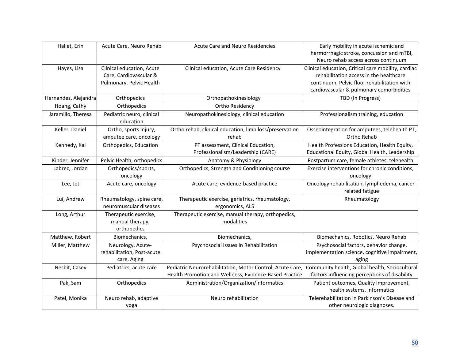| Hallet, Erin         | Acute Care, Neuro Rehab                         | <b>Acute Care and Neuro Residencies</b>                          | Early mobility in acute ischemic and                                             |
|----------------------|-------------------------------------------------|------------------------------------------------------------------|----------------------------------------------------------------------------------|
|                      |                                                 |                                                                  | hermorrhagic stroke, concussion and mTBI,<br>Neuro rehab access across continuum |
| Hayes, Lisa          | Clinical education, Acute                       | Clinical education, Acute Care Residency                         | Clinical education, Critical care mobility, cardiac                              |
|                      | Care, Cardiovascular &                          |                                                                  | rehabilitation access in the healthcare                                          |
|                      | Pulmonary, Pelvic Health                        |                                                                  | continuum, Pelvic floor rehabilitation with                                      |
|                      |                                                 |                                                                  | cardiovascular & pulmonary comorbidities                                         |
| Hernandez, Alejandra | Orthopedics                                     | Orthopathokinesiology                                            | TBD (In Progress)                                                                |
| Hoang, Cathy         | Orthopedics                                     | Ortho Residency                                                  |                                                                                  |
| Jaramillo, Theresa   | Pediatric neuro, clinical<br>education          | Neuropathokinesiology, clinical education                        | Professionalism training, education                                              |
| Keller, Daniel       | Ortho, sports injury,<br>amputee care, oncology | Ortho rehab, clinical education, limb loss/preservation<br>rehab | Osseointegration for amputees, telehealth PT,<br>Ortho Rehab                     |
| Kennedy, Kai         | Orthopedics, Education                          | PT assessment, Clinical Education,                               | Health Professions Education, Health Equity,                                     |
|                      |                                                 | Professionalism/Leadership (CARE)                                | Educational Equity, Global Health, Leadership                                    |
| Kinder, Jennifer     | Pelvic Health, orthopedics                      | Anatomy & Physiology                                             | Postpartum care, female athletes, telehealth                                     |
| Labrec, Jordan       | Orthopedics/sports,                             | Orthopedics, Strength and Conditioning course                    | Exercise interventions for chronic conditions,                                   |
|                      | oncology                                        |                                                                  | oncology                                                                         |
| Lee, Jet             | Acute care, oncology                            | Acute care, evidence-based practice                              | Oncology rehabilitation, lymphedema, cancer-                                     |
|                      |                                                 |                                                                  | related fatigue                                                                  |
| Lui, Andrew          | Rheumatology, spine care,                       | Therapeutic exercise, geriatrics, rheumatology,                  | Rheumatology                                                                     |
|                      | neuromuscular diseases                          | ergonomics, ALS                                                  |                                                                                  |
| Long, Arthur         | Therapeutic exercise,                           | Therapeutic exercise, manual therapy, orthopedics,               |                                                                                  |
|                      | manual therapy,                                 | modalities                                                       |                                                                                  |
|                      | orthopedics                                     |                                                                  |                                                                                  |
| Matthew, Robert      | Biomechanics,                                   | Biomechanics,                                                    | Biomechanics, Robotics, Neuro Rehab                                              |
| Miller, Matthew      | Neurology, Acute-                               | Psychosocial Issues in Rehabilitation                            | Psychosocial factors, behavior change,                                           |
|                      | rehabilitation, Post-acute                      |                                                                  | implementation science, cognitive impairment,                                    |
|                      | care, Aging                                     |                                                                  | aging                                                                            |
| Nesbit, Casey        | Pediatrics, acute care                          | Pediatric Neurorehabilitation, Motor Control, Acute Care,        | Community health, Global health, Sociocultural                                   |
|                      |                                                 | Health Promotion and Wellness, Evidence-Based Practice           | factors influencing perceptions of disability                                    |
| Pak, Sam             | Orthopedics                                     | Administration/Organization/Informatics                          | Patient outcomes, Quality Improvement,                                           |
|                      |                                                 |                                                                  | health systems, Informatics                                                      |
| Patel, Monika        | Neuro rehab, adaptive                           | Neuro rehabilitation                                             | Telerehabilitation in Parkinson's Disease and                                    |
|                      | yoga                                            |                                                                  | other neurologic diagnoses.                                                      |